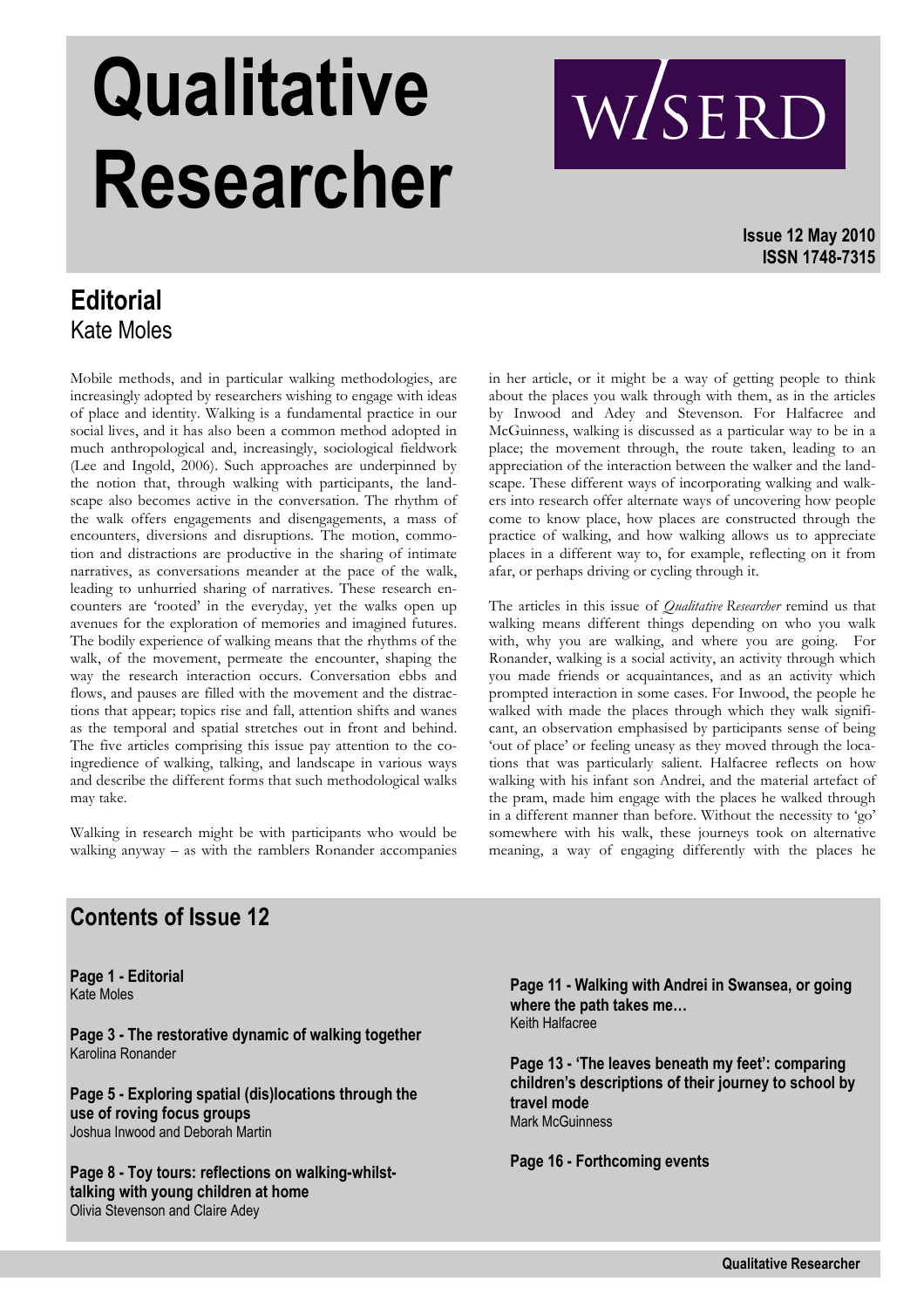# **Qualitative Researcher**

WSERD

**Issue 12 May 2010 ISSN 1748-7315**

### **Editorial**  Kate Moles

Mobile methods, and in particular walking methodologies, are increasingly adopted by researchers wishing to engage with ideas of place and identity. Walking is a fundamental practice in our social lives, and it has also been a common method adopted in much anthropological and, increasingly, sociological fieldwork (Lee and Ingold, 2006). Such approaches are underpinned by the notion that, through walking with participants, the landscape also becomes active in the conversation. The rhythm of the walk offers engagements and disengagements, a mass of encounters, diversions and disruptions. The motion, commotion and distractions are productive in the sharing of intimate narratives, as conversations meander at the pace of the walk, leading to unhurried sharing of narratives. These research encounters are 'rooted' in the everyday, yet the walks open up avenues for the exploration of memories and imagined futures. The bodily experience of walking means that the rhythms of the walk, of the movement, permeate the encounter, shaping the way the research interaction occurs. Conversation ebbs and flows, and pauses are filled with the movement and the distractions that appear; topics rise and fall, attention shifts and wanes as the temporal and spatial stretches out in front and behind. The five articles comprising this issue pay attention to the coingredience of walking, talking, and landscape in various ways and describe the different forms that such methodological walks may take.

Walking in research might be with participants who would be walking anyway – as with the ramblers Ronander accompanies

in her article, or it might be a way of getting people to think about the places you walk through with them, as in the articles by Inwood and Adey and Stevenson. For Halfacree and McGuinness, walking is discussed as a particular way to be in a place; the movement through, the route taken, leading to an appreciation of the interaction between the walker and the landscape. These different ways of incorporating walking and walkers into research offer alternate ways of uncovering how people come to know place, how places are constructed through the practice of walking, and how walking allows us to appreciate places in a different way to, for example, reflecting on it from afar, or perhaps driving or cycling through it.

The articles in this issue of *Qualitative Researcher* remind us that walking means different things depending on who you walk with, why you are walking, and where you are going. For Ronander, walking is a social activity, an activity through which you made friends or acquaintances, and as an activity which prompted interaction in some cases. For Inwood, the people he walked with made the places through which they walk significant, an observation emphasised by participants sense of being 'out of place' or feeling uneasy as they moved through the locations that was particularly salient. Halfacree reflects on how walking with his infant son Andrei, and the material artefact of the pram, made him engage with the places he walked through in a different manner than before. Without the necessity to 'go' somewhere with his walk, these journeys took on alternative meaning, a way of engaging differently with the places he

### **Contents of Issue 12**

**Page 1 - Editorial**  Kate Moles

**Page 3 - The restorative dynamic of walking together** Karolina Ronander

**Page 5 - Exploring spatial (dis)locations through the use of roving focus groups**  Joshua Inwood and Deborah Martin

**Page 8 - Toy tours: reflections on walking-whilsttalking with young children at home**  Olivia Stevenson and Claire Adey

**Page 11 - Walking with Andrei in Swansea, or going where the path takes me…**  Keith Halfacree

**Page 13 - 'The leaves beneath my feet': comparing children's descriptions of their journey to school by travel mode**  Mark McGuinness

**Page 16 - Forthcoming events**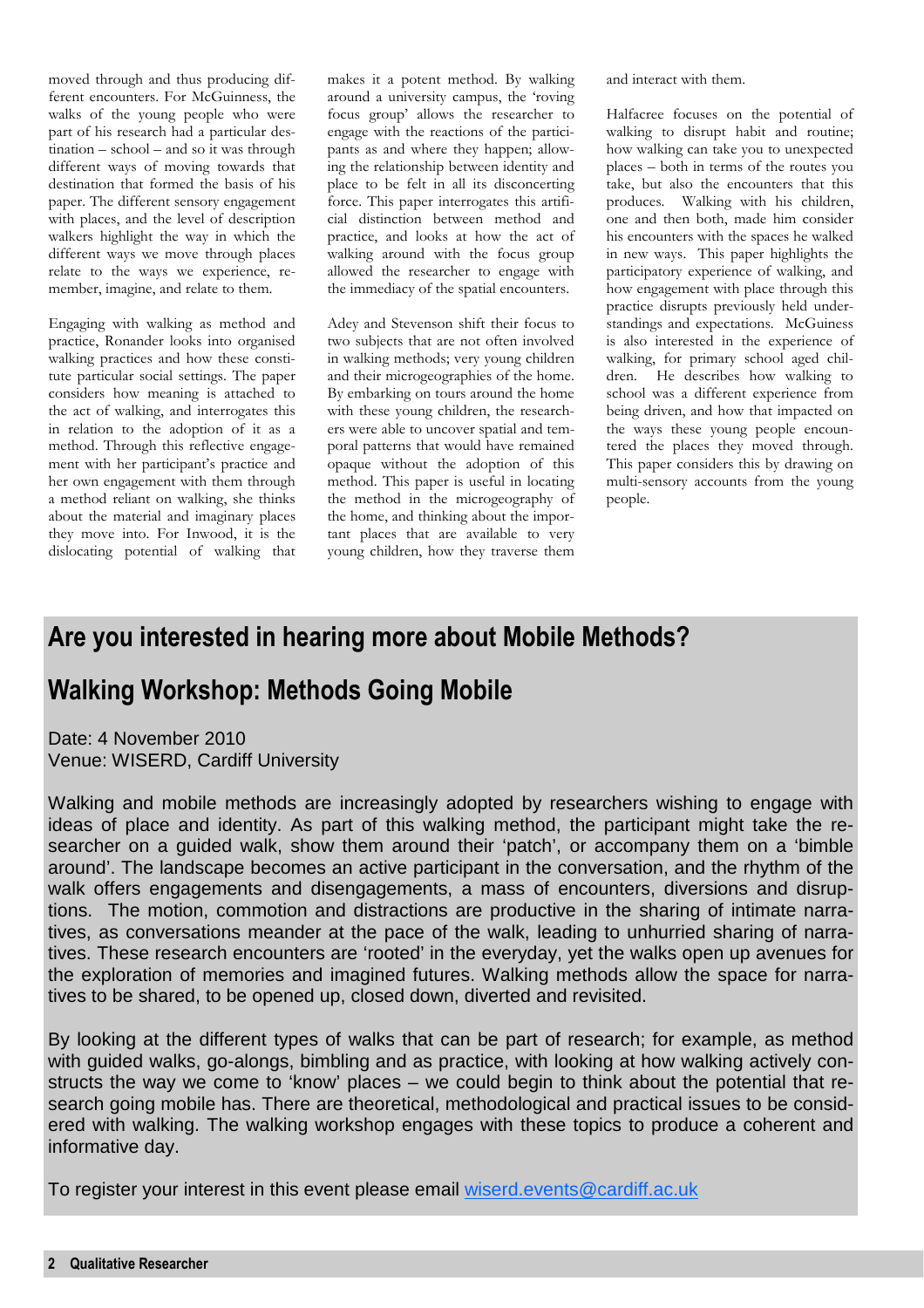moved through and thus producing different encounters. For McGuinness, the walks of the young people who were part of his research had a particular destination – school – and so it was through different ways of moving towards that destination that formed the basis of his paper. The different sensory engagement with places, and the level of description walkers highlight the way in which the different ways we move through places relate to the ways we experience, remember, imagine, and relate to them.

Engaging with walking as method and practice, Ronander looks into organised walking practices and how these constitute particular social settings. The paper considers how meaning is attached to the act of walking, and interrogates this in relation to the adoption of it as a method. Through this reflective engagement with her participant's practice and her own engagement with them through a method reliant on walking, she thinks about the material and imaginary places they move into. For Inwood, it is the dislocating potential of walking that

makes it a potent method. By walking around a university campus, the 'roving focus group' allows the researcher to engage with the reactions of the participants as and where they happen; allowing the relationship between identity and place to be felt in all its disconcerting force. This paper interrogates this artificial distinction between method and practice, and looks at how the act of walking around with the focus group allowed the researcher to engage with the immediacy of the spatial encounters.

Adey and Stevenson shift their focus to two subjects that are not often involved in walking methods; very young children and their microgeographies of the home. By embarking on tours around the home with these young children, the researchers were able to uncover spatial and temporal patterns that would have remained opaque without the adoption of this method. This paper is useful in locating the method in the microgeography of the home, and thinking about the important places that are available to very young children, how they traverse them and interact with them.

Halfacree focuses on the potential of walking to disrupt habit and routine; how walking can take you to unexpected places – both in terms of the routes you take, but also the encounters that this produces. Walking with his children, one and then both, made him consider his encounters with the spaces he walked in new ways. This paper highlights the participatory experience of walking, and how engagement with place through this practice disrupts previously held understandings and expectations. McGuiness is also interested in the experience of walking, for primary school aged children. He describes how walking to school was a different experience from being driven, and how that impacted on the ways these young people encountered the places they moved through. This paper considers this by drawing on multi-sensory accounts from the young people.

### **Are you interested in hearing more about Mobile Methods?**

### **Walking Workshop: Methods Going Mobile**

Date: 4 November 2010 Venue: WISERD, Cardiff University

Walking and mobile methods are increasingly adopted by researchers wishing to engage with ideas of place and identity. As part of this walking method, the participant might take the researcher on a guided walk, show them around their 'patch', or accompany them on a 'bimble around'. The landscape becomes an active participant in the conversation, and the rhythm of the walk offers engagements and disengagements, a mass of encounters, diversions and disruptions. The motion, commotion and distractions are productive in the sharing of intimate narratives, as conversations meander at the pace of the walk, leading to unhurried sharing of narratives. These research encounters are 'rooted' in the everyday, yet the walks open up avenues for the exploration of memories and imagined futures. Walking methods allow the space for narratives to be shared, to be opened up, closed down, diverted and revisited.

By looking at the different types of walks that can be part of research; for example, as method with guided walks, go-alongs, bimbling and as practice, with looking at how walking actively constructs the way we come to 'know' places – we could begin to think about the potential that research going mobile has. There are theoretical, methodological and practical issues to be considered with walking. The walking workshop engages with these topics to produce a coherent and informative day.

To register your interest in this event please email wiserd.events@cardiff.ac.uk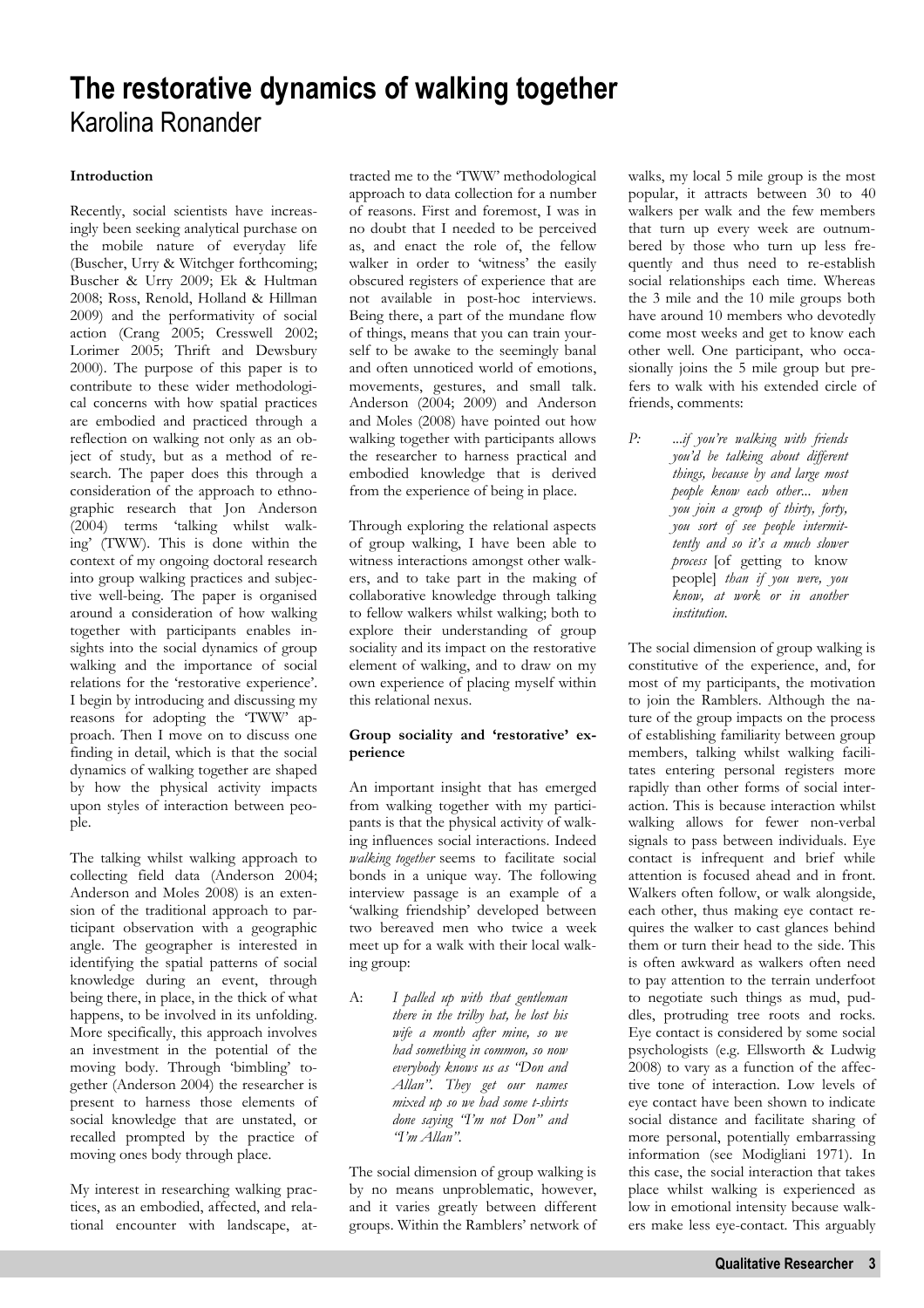### **The restorative dynamics of walking together**  Karolina Ronander

### **Introduction**

Recently, social scientists have increasingly been seeking analytical purchase on the mobile nature of everyday life (Buscher, Urry & Witchger forthcoming; Buscher & Urry 2009; Ek & Hultman 2008; Ross, Renold, Holland & Hillman 2009) and the performativity of social action (Crang 2005; Cresswell 2002; Lorimer 2005; Thrift and Dewsbury 2000). The purpose of this paper is to contribute to these wider methodological concerns with how spatial practices are embodied and practiced through a reflection on walking not only as an object of study, but as a method of research. The paper does this through a consideration of the approach to ethnographic research that Jon Anderson (2004) terms 'talking whilst walking' (TWW). This is done within the context of my ongoing doctoral research into group walking practices and subjective well-being. The paper is organised around a consideration of how walking together with participants enables insights into the social dynamics of group walking and the importance of social relations for the 'restorative experience'. I begin by introducing and discussing my reasons for adopting the 'TWW' approach. Then I move on to discuss one finding in detail, which is that the social dynamics of walking together are shaped by how the physical activity impacts upon styles of interaction between people.

The talking whilst walking approach to collecting field data (Anderson 2004; Anderson and Moles 2008) is an extension of the traditional approach to participant observation with a geographic angle. The geographer is interested in identifying the spatial patterns of social knowledge during an event, through being there, in place, in the thick of what happens, to be involved in its unfolding. More specifically, this approach involves an investment in the potential of the moving body. Through 'bimbling' together (Anderson 2004) the researcher is present to harness those elements of social knowledge that are unstated, or recalled prompted by the practice of moving ones body through place.

My interest in researching walking practices, as an embodied, affected, and relational encounter with landscape, at-

tracted me to the 'TWW' methodological approach to data collection for a number of reasons. First and foremost, I was in no doubt that I needed to be perceived as, and enact the role of, the fellow walker in order to 'witness' the easily obscured registers of experience that are not available in post-hoc interviews. Being there, a part of the mundane flow of things, means that you can train yourself to be awake to the seemingly banal and often unnoticed world of emotions, movements, gestures, and small talk. Anderson (2004; 2009) and Anderson and Moles (2008) have pointed out how walking together with participants allows the researcher to harness practical and embodied knowledge that is derived from the experience of being in place.

Through exploring the relational aspects of group walking, I have been able to witness interactions amongst other walkers, and to take part in the making of collaborative knowledge through talking to fellow walkers whilst walking; both to explore their understanding of group sociality and its impact on the restorative element of walking, and to draw on my own experience of placing myself within this relational nexus.

### **Group sociality and 'restorative' experience**

An important insight that has emerged from walking together with my participants is that the physical activity of walking influences social interactions. Indeed *walking together* seems to facilitate social bonds in a unique way. The following interview passage is an example of a 'walking friendship' developed between two bereaved men who twice a week meet up for a walk with their local walking group:

A: *I palled up with that gentleman there in the trilby hat, he lost his wife a month after mine, so we had something in common, so now everybody knows us as "Don and Allan". They get our names mixed up so we had some t-shirts done saying "I'm not Don" and "I'm Allan".* 

The social dimension of group walking is by no means unproblematic, however, and it varies greatly between different groups. Within the Ramblers' network of walks, my local 5 mile group is the most popular, it attracts between 30 to 40 walkers per walk and the few members that turn up every week are outnumbered by those who turn up less frequently and thus need to re-establish social relationships each time. Whereas the 3 mile and the 10 mile groups both have around 10 members who devotedly come most weeks and get to know each other well. One participant, who occasionally joins the 5 mile group but prefers to walk with his extended circle of friends, comments:

*P:* ...*if you're walking with friends you'd be talking about different things, because by and large most people know each other*... *when you join a group of thirty, forty, you sort of see people intermittently and so it's a much slower process* [of getting to know people] *than if you were, you know, at work or in another institution.* 

The social dimension of group walking is constitutive of the experience, and, for most of my participants, the motivation to join the Ramblers. Although the nature of the group impacts on the process of establishing familiarity between group members, talking whilst walking facilitates entering personal registers more rapidly than other forms of social interaction. This is because interaction whilst walking allows for fewer non-verbal signals to pass between individuals. Eye contact is infrequent and brief while attention is focused ahead and in front. Walkers often follow, or walk alongside, each other, thus making eye contact requires the walker to cast glances behind them or turn their head to the side. This is often awkward as walkers often need to pay attention to the terrain underfoot to negotiate such things as mud, puddles, protruding tree roots and rocks. Eye contact is considered by some social psychologists (e.g. Ellsworth & Ludwig 2008) to vary as a function of the affective tone of interaction. Low levels of eye contact have been shown to indicate social distance and facilitate sharing of more personal, potentially embarrassing information (see Modigliani 1971). In this case, the social interaction that takes place whilst walking is experienced as low in emotional intensity because walkers make less eye-contact. This arguably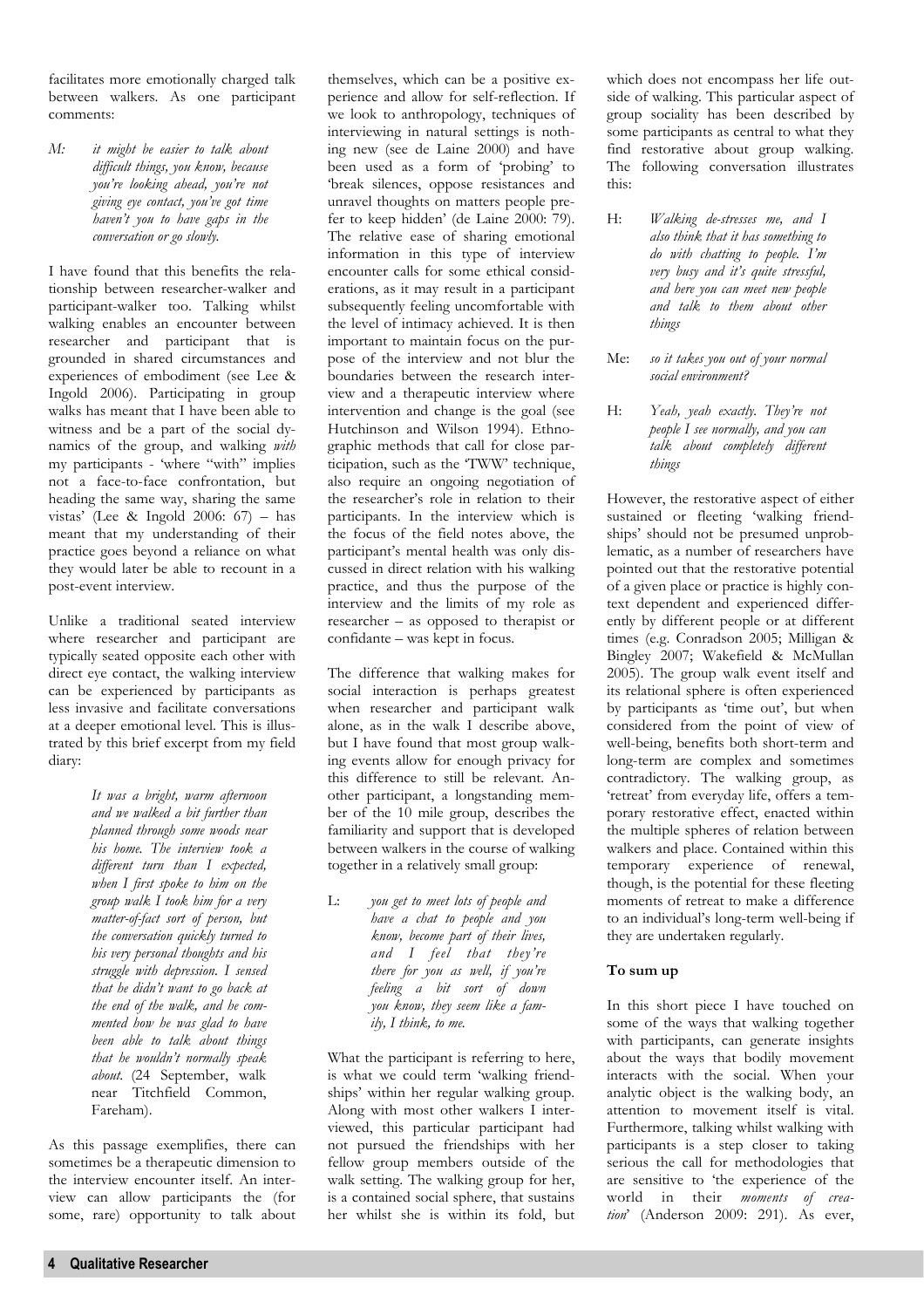facilitates more emotionally charged talk between walkers. As one participant comments:

*M: it might be easier to talk about difficult things, you know, because you're looking ahead, you're not giving eye contact, you've got time haven't you to have gaps in the conversation or go slowly.* 

I have found that this benefits the relationship between researcher-walker and participant-walker too. Talking whilst walking enables an encounter between researcher and participant that is grounded in shared circumstances and experiences of embodiment (see Lee & Ingold 2006). Participating in group walks has meant that I have been able to witness and be a part of the social dynamics of the group, and walking *with* my participants - 'where "with" implies not a face-to-face confrontation, but heading the same way, sharing the same vistas' (Lee & Ingold 2006: 67) – has meant that my understanding of their practice goes beyond a reliance on what they would later be able to recount in a post-event interview.

Unlike a traditional seated interview where researcher and participant are typically seated opposite each other with direct eye contact, the walking interview can be experienced by participants as less invasive and facilitate conversations at a deeper emotional level. This is illustrated by this brief excerpt from my field diary:

> *It was a bright, warm afternoon and we walked a bit further than planned through some woods near his home. The interview took a different turn than I expected, when I first spoke to him on the group walk I took him for a very matter-of-fact sort of person, but the conversation quickly turned to his very personal thoughts and his struggle with depression. I sensed that he didn't want to go back at the end of the walk, and he commented how he was glad to have been able to talk about things that he wouldn't normally speak about.* (24 September, walk near Titchfield Common, Fareham).

As this passage exemplifies, there can sometimes be a therapeutic dimension to the interview encounter itself. An interview can allow participants the (for some, rare) opportunity to talk about themselves, which can be a positive experience and allow for self-reflection. If we look to anthropology, techniques of interviewing in natural settings is nothing new (see de Laine 2000) and have been used as a form of 'probing' to 'break silences, oppose resistances and unravel thoughts on matters people prefer to keep hidden' (de Laine 2000: 79). The relative ease of sharing emotional information in this type of interview encounter calls for some ethical considerations, as it may result in a participant subsequently feeling uncomfortable with the level of intimacy achieved. It is then important to maintain focus on the purpose of the interview and not blur the boundaries between the research interview and a therapeutic interview where intervention and change is the goal (see Hutchinson and Wilson 1994). Ethnographic methods that call for close participation, such as the 'TWW' technique, also require an ongoing negotiation of the researcher's role in relation to their participants. In the interview which is the focus of the field notes above, the participant's mental health was only discussed in direct relation with his walking practice, and thus the purpose of the interview and the limits of my role as researcher – as opposed to therapist or confidante – was kept in focus.

The difference that walking makes for social interaction is perhaps greatest when researcher and participant walk alone, as in the walk I describe above, but I have found that most group walking events allow for enough privacy for this difference to still be relevant. Another participant, a longstanding member of the 10 mile group, describes the familiarity and support that is developed between walkers in the course of walking together in a relatively small group:

L: *you get to meet lots of people and have a chat to people and you know, become part of their lives, and I feel that they're there for you as well, if you're feeling a bit sort of down you know, they seem like a family, I think, to me.* 

What the participant is referring to here, is what we could term 'walking friendships' within her regular walking group. Along with most other walkers I interviewed, this particular participant had not pursued the friendships with her fellow group members outside of the walk setting. The walking group for her, is a contained social sphere, that sustains her whilst she is within its fold, but which does not encompass her life outside of walking. This particular aspect of group sociality has been described by some participants as central to what they find restorative about group walking. The following conversation illustrates this:

- H: *Walking de-stresses me, and I also think that it has something to do with chatting to people. I'm very busy and it's quite stressful, and here you can meet new people and talk to them about other things*
- Me: *so it takes you out of your normal social environment?*
- H: *Yeah, yeah exactly. They're not people I see normally, and you can talk about completely different things*

However, the restorative aspect of either sustained or fleeting 'walking friendships' should not be presumed unproblematic, as a number of researchers have pointed out that the restorative potential of a given place or practice is highly context dependent and experienced differently by different people or at different times (e.g. Conradson 2005; Milligan & Bingley 2007; Wakefield & McMullan 2005). The group walk event itself and its relational sphere is often experienced by participants as 'time out', but when considered from the point of view of well-being, benefits both short-term and long-term are complex and sometimes contradictory. The walking group, as 'retreat' from everyday life, offers a temporary restorative effect, enacted within the multiple spheres of relation between walkers and place. Contained within this temporary experience of renewal, though, is the potential for these fleeting moments of retreat to make a difference to an individual's long-term well-being if they are undertaken regularly.

### **To sum up**

In this short piece I have touched on some of the ways that walking together with participants, can generate insights about the ways that bodily movement interacts with the social. When your analytic object is the walking body, an attention to movement itself is vital. Furthermore, talking whilst walking with participants is a step closer to taking serious the call for methodologies that are sensitive to 'the experience of the world in their *moments of creation*' (Anderson 2009: 291). As ever,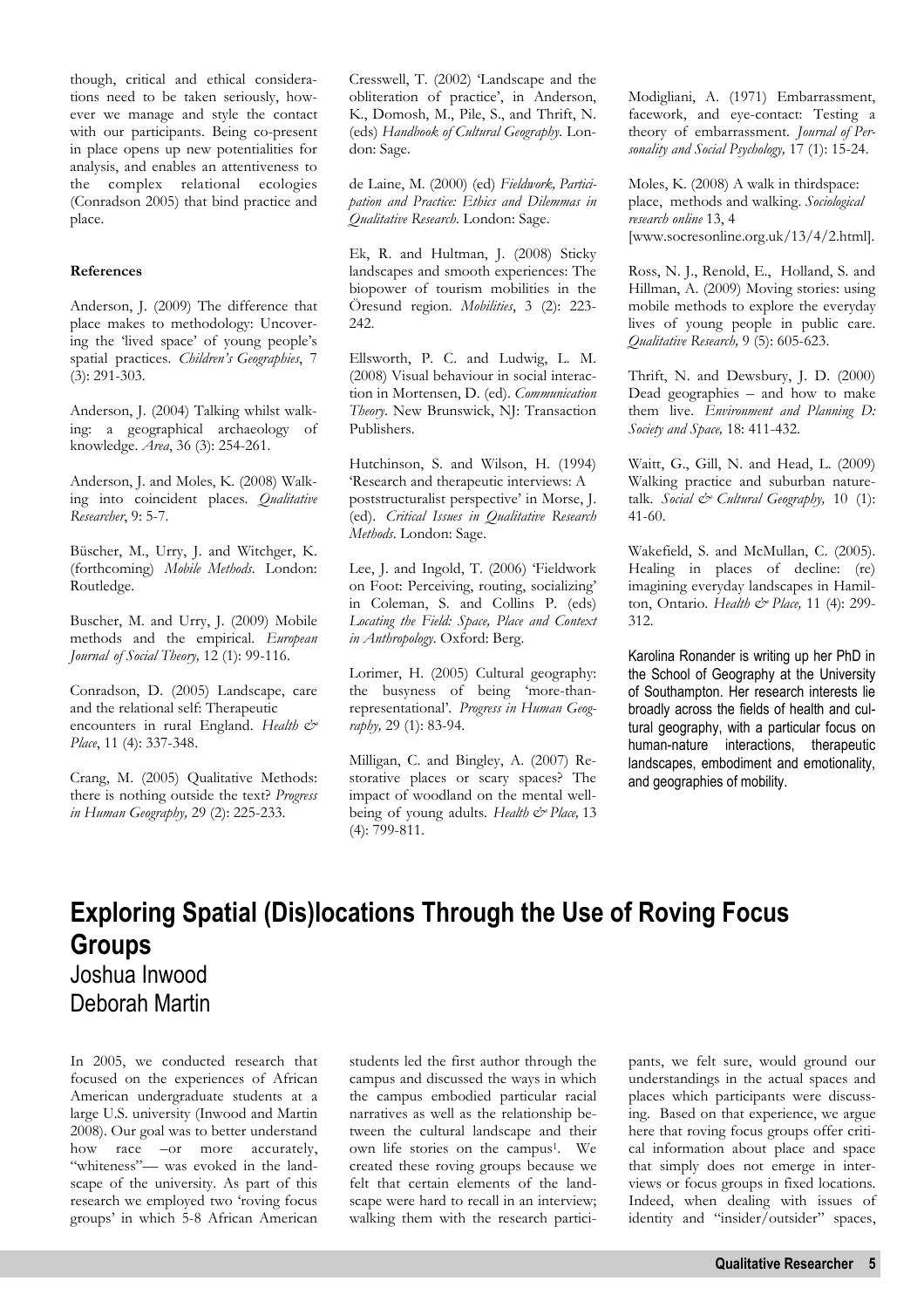though, critical and ethical considerations need to be taken seriously, however we manage and style the contact with our participants. Being co-present in place opens up new potentialities for analysis, and enables an attentiveness to the complex relational ecologies (Conradson 2005) that bind practice and place.

### **References**

Anderson, J. (2009) The difference that place makes to methodology: Uncovering the 'lived space' of young people's spatial practices. *Children's Geographies*, 7 (3): 291-303.

Anderson, J. (2004) Talking whilst walking: a geographical archaeology of knowledge. *Area*, 36 (3): 254-261.

Anderson, J. and Moles, K. (2008) Walking into coincident places. *Qualitative Researcher*, 9: 5-7.

Büscher, M., Urry, J. and Witchger, K. (forthcoming) *Mobile Methods*. London: Routledge.

Buscher, M. and Urry, J. (2009) Mobile methods and the empirical. *European Journal of Social Theory,* 12 (1): 99-116.

Conradson, D. (2005) Landscape, care and the relational self: Therapeutic encounters in rural England. *Health*  $\mathcal{O}^*$ *Place*, 11 (4): 337-348.

Crang, M. (2005) Qualitative Methods: there is nothing outside the text? *Progress in Human Geography,* 29 (2): 225-233.

Cresswell, T. (2002) 'Landscape and the obliteration of practice', in Anderson, K., Domosh, M., Pile, S., and Thrift, N. (eds) *Handbook of Cultural Geography*. London: Sage.

de Laine, M. (2000) (ed) *Fieldwork, Participation and Practice: Ethics and Dilemmas in Qualitative Research*. London: Sage.

Ek, R. and Hultman, J. (2008) Sticky landscapes and smooth experiences: The biopower of tourism mobilities in the Öresund region. *Mobilities*, 3 (2): 223- 242.

Ellsworth, P. C. and Ludwig, L. M. (2008) Visual behaviour in social interaction in Mortensen, D. (ed). *Communication Theory*. New Brunswick, NJ: Transaction Publishers.

Hutchinson, S. and Wilson, H. (1994) 'Research and therapeutic interviews: A poststructuralist perspective' in Morse, J. (ed). *Critical Issues in Qualitative Research Methods*. London: Sage.

Lee, J. and Ingold, T. (2006) 'Fieldwork on Foot: Perceiving, routing, socializing' in Coleman, S. and Collins P. (eds) *Locating the Field: Space, Place and Context in Anthropology*. Oxford: Berg.

Lorimer, H. (2005) Cultural geography: the busyness of being 'more-thanrepresentational'. *Progress in Human Geography,* 29 (1): 83-94.

Milligan, C. and Bingley, A. (2007) Restorative places or scary spaces? The impact of woodland on the mental wellbeing of young adults. *Health & Place,* 13 (4): 799-811.

Modigliani, A. (1971) Embarrassment, facework, and eye-contact: Testing a theory of embarrassment. *Journal of Personality and Social Psychology,* 17 (1): 15-24.

Moles, K. (2008) A walk in thirdspace: place, methods and walking. *Sociological research online* 13, 4 [www.socresonline.org.uk/13/4/2.html].

Ross, N. J., Renold, E., Holland, S. and Hillman, A. (2009) Moving stories: using mobile methods to explore the everyday lives of young people in public care. *Qualitative Research,* 9 (5): 605-623.

Thrift, N. and Dewsbury, J. D. (2000) Dead geographies – and how to make them live. *Environment and Planning D: Society and Space,* 18: 411-432.

Waitt, G., Gill, N. and Head, L. (2009) Walking practice and suburban naturetalk. *Social & Cultural Geography,* 10 (1): 41-60.

Wakefield, S. and McMullan, C. (2005). Healing in places of decline: (re) imagining everyday landscapes in Hamilton, Ontario. *Health & Place,* 11 (4): 299- 312.

Karolina Ronander is writing up her PhD in the School of Geography at the University of Southampton. Her research interests lie broadly across the fields of health and cultural geography, with a particular focus on human-nature interactions, therapeutic landscapes, embodiment and emotionality, and geographies of mobility.

# **Exploring Spatial (Dis)locations Through the Use of Roving Focus Groups**

Joshua Inwood Deborah Martin

In 2005, we conducted research that focused on the experiences of African American undergraduate students at a large U.S. university (Inwood and Martin 2008). Our goal was to better understand how race –or more accurately, "whiteness"— was evoked in the landscape of the university. As part of this research we employed two 'roving focus groups' in which 5-8 African American

students led the first author through the campus and discussed the ways in which the campus embodied particular racial narratives as well as the relationship between the cultural landscape and their own life stories on the campus1. We created these roving groups because we felt that certain elements of the landscape were hard to recall in an interview; walking them with the research participants, we felt sure, would ground our understandings in the actual spaces and places which participants were discussing. Based on that experience, we argue here that roving focus groups offer critical information about place and space that simply does not emerge in interviews or focus groups in fixed locations. Indeed, when dealing with issues of identity and "insider/outsider" spaces,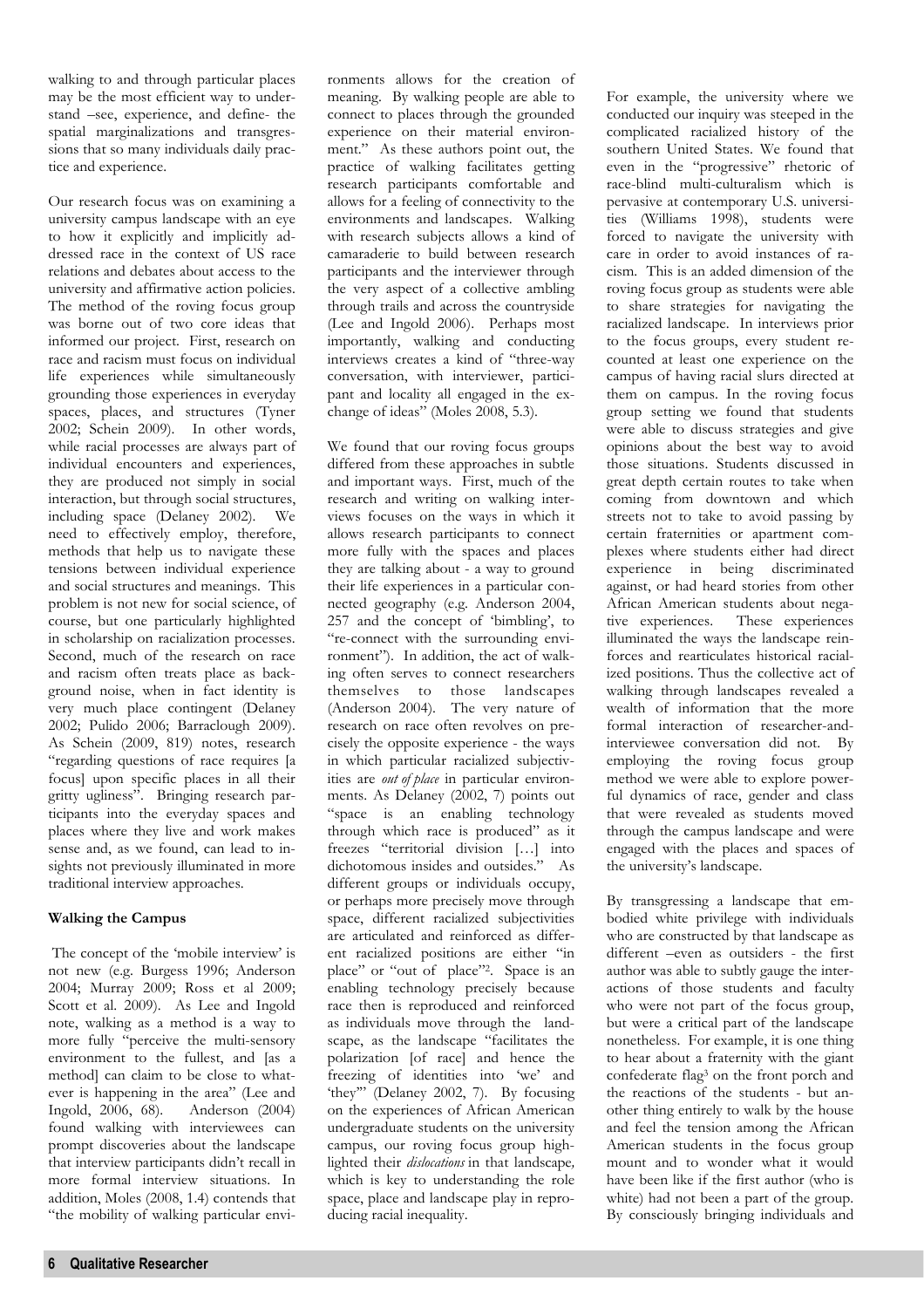walking to and through particular places may be the most efficient way to understand –see, experience, and define- the spatial marginalizations and transgressions that so many individuals daily practice and experience.

Our research focus was on examining a university campus landscape with an eye to how it explicitly and implicitly addressed race in the context of US race relations and debates about access to the university and affirmative action policies. The method of the roving focus group was borne out of two core ideas that informed our project. First, research on race and racism must focus on individual life experiences while simultaneously grounding those experiences in everyday spaces, places, and structures (Tyner 2002; Schein 2009). In other words, while racial processes are always part of individual encounters and experiences, they are produced not simply in social interaction, but through social structures, including space (Delaney 2002). We need to effectively employ, therefore, methods that help us to navigate these tensions between individual experience and social structures and meanings. This problem is not new for social science, of course, but one particularly highlighted in scholarship on racialization processes. Second, much of the research on race and racism often treats place as background noise, when in fact identity is very much place contingent (Delaney 2002; Pulido 2006; Barraclough 2009). As Schein (2009, 819) notes, research "regarding questions of race requires [a focus] upon specific places in all their gritty ugliness". Bringing research participants into the everyday spaces and places where they live and work makes sense and, as we found, can lead to insights not previously illuminated in more traditional interview approaches.

### **Walking the Campus**

 The concept of the 'mobile interview' is not new (e.g. Burgess 1996; Anderson 2004; Murray 2009; Ross et al 2009; Scott et al. 2009). As Lee and Ingold note, walking as a method is a way to more fully "perceive the multi-sensory environment to the fullest, and [as a method] can claim to be close to whatever is happening in the area" (Lee and Ingold, 2006, 68). Anderson (2004) found walking with interviewees can prompt discoveries about the landscape that interview participants didn't recall in more formal interview situations. In addition, Moles (2008, 1.4) contends that "the mobility of walking particular environments allows for the creation of meaning. By walking people are able to connect to places through the grounded experience on their material environment." As these authors point out, the practice of walking facilitates getting research participants comfortable and allows for a feeling of connectivity to the environments and landscapes. Walking with research subjects allows a kind of camaraderie to build between research participants and the interviewer through the very aspect of a collective ambling through trails and across the countryside (Lee and Ingold 2006). Perhaps most importantly, walking and conducting interviews creates a kind of "three-way conversation, with interviewer, participant and locality all engaged in the exchange of ideas" (Moles 2008, 5.3).

We found that our roving focus groups differed from these approaches in subtle and important ways. First, much of the research and writing on walking interviews focuses on the ways in which it allows research participants to connect more fully with the spaces and places they are talking about - a way to ground their life experiences in a particular connected geography (e.g. Anderson 2004, 257 and the concept of 'bimbling', to "re-connect with the surrounding environment"). In addition, the act of walking often serves to connect researchers themselves to those landscapes (Anderson 2004). The very nature of research on race often revolves on precisely the opposite experience - the ways in which particular racialized subjectivities are *out of place* in particular environments. As Delaney (2002, 7) points out "space is an enabling technology through which race is produced" as it freezes "territorial division […] into dichotomous insides and outsides." As different groups or individuals occupy, or perhaps more precisely move through space, different racialized subjectivities are articulated and reinforced as different racialized positions are either "in place" or "out of place"<sup>2</sup>. Space is an enabling technology precisely because race then is reproduced and reinforced as individuals move through the landscape, as the landscape "facilitates the polarization [of race] and hence the freezing of identities into 'we' and 'they'" (Delaney 2002, 7). By focusing on the experiences of African American undergraduate students on the university campus, our roving focus group highlighted their *dislocations* in that landscape*,* which is key to understanding the role space, place and landscape play in reproducing racial inequality.

For example, the university where we conducted our inquiry was steeped in the complicated racialized history of the southern United States. We found that even in the "progressive" rhetoric of race-blind multi-culturalism which is pervasive at contemporary U.S. universities (Williams 1998), students were forced to navigate the university with care in order to avoid instances of racism. This is an added dimension of the roving focus group as students were able to share strategies for navigating the racialized landscape. In interviews prior to the focus groups, every student recounted at least one experience on the campus of having racial slurs directed at them on campus. In the roving focus group setting we found that students were able to discuss strategies and give opinions about the best way to avoid those situations. Students discussed in great depth certain routes to take when coming from downtown and which streets not to take to avoid passing by certain fraternities or apartment complexes where students either had direct experience in being discriminated against, or had heard stories from other African American students about negative experiences. These experiences illuminated the ways the landscape reinforces and rearticulates historical racialized positions. Thus the collective act of walking through landscapes revealed a wealth of information that the more formal interaction of researcher-andinterviewee conversation did not. By employing the roving focus group method we were able to explore powerful dynamics of race, gender and class that were revealed as students moved through the campus landscape and were engaged with the places and spaces of the university's landscape.

By transgressing a landscape that embodied white privilege with individuals who are constructed by that landscape as different –even as outsiders - the first author was able to subtly gauge the interactions of those students and faculty who were not part of the focus group, but were a critical part of the landscape nonetheless. For example, it is one thing to hear about a fraternity with the giant confederate flag3 on the front porch and the reactions of the students - but another thing entirely to walk by the house and feel the tension among the African American students in the focus group mount and to wonder what it would have been like if the first author (who is white) had not been a part of the group. By consciously bringing individuals and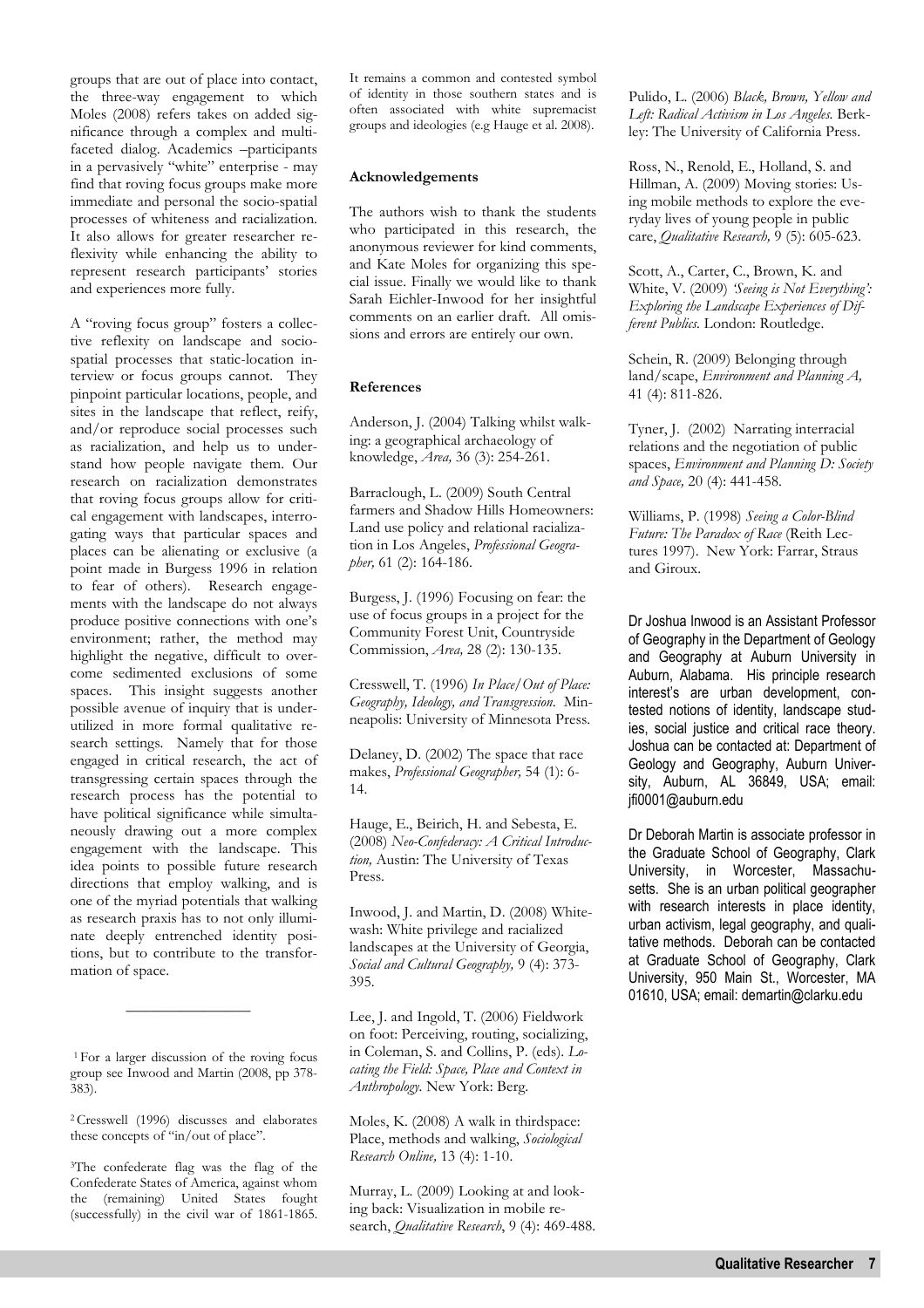groups that are out of place into contact, the three-way engagement to which Moles (2008) refers takes on added significance through a complex and multifaceted dialog. Academics –participants in a pervasively "white" enterprise - may find that roving focus groups make more immediate and personal the socio-spatial processes of whiteness and racialization. It also allows for greater researcher reflexivity while enhancing the ability to represent research participants' stories and experiences more fully.

A "roving focus group" fosters a collective reflexity on landscape and sociospatial processes that static-location interview or focus groups cannot. They pinpoint particular locations, people, and sites in the landscape that reflect, reify, and/or reproduce social processes such as racialization, and help us to understand how people navigate them. Our research on racialization demonstrates that roving focus groups allow for critical engagement with landscapes, interrogating ways that particular spaces and places can be alienating or exclusive (a point made in Burgess 1996 in relation to fear of others). Research engagements with the landscape do not always produce positive connections with one's environment; rather, the method may highlight the negative, difficult to overcome sedimented exclusions of some spaces. This insight suggests another possible avenue of inquiry that is underutilized in more formal qualitative research settings. Namely that for those engaged in critical research, the act of transgressing certain spaces through the research process has the potential to have political significance while simultaneously drawing out a more complex engagement with the landscape. This idea points to possible future research directions that employ walking, and is one of the myriad potentials that walking as research praxis has to not only illuminate deeply entrenched identity positions, but to contribute to the transformation of space.

<sup>1</sup>For a larger discussion of the roving focus group see Inwood and Martin (2008, pp 378- 383).

 $\overline{\phantom{a}}$  , where the contract of the contract of  $\overline{\phantom{a}}$ 

<sup>2</sup>Cresswell (1996) discusses and elaborates these concepts of "in/out of place".

<sup>3</sup>The confederate flag was the flag of the Confederate States of America, against whom the (remaining) United States fought (successfully) in the civil war of 1861-1865.

It remains a common and contested symbol of identity in those southern states and is often associated with white supremacist groups and ideologies (e.g Hauge et al. 2008).

### **Acknowledgements**

The authors wish to thank the students who participated in this research, the anonymous reviewer for kind comments, and Kate Moles for organizing this special issue. Finally we would like to thank Sarah Eichler-Inwood for her insightful comments on an earlier draft. All omissions and errors are entirely our own.

### **References**

Anderson, J. (2004) Talking whilst walking: a geographical archaeology of knowledge, *Area,* 36 (3): 254-261.

Barraclough, L. (2009) South Central farmers and Shadow Hills Homeowners: Land use policy and relational racialization in Los Angeles, *Professional Geographer,* 61 (2): 164-186.

Burgess, J. (1996) Focusing on fear: the use of focus groups in a project for the Community Forest Unit, Countryside Commission, *Area,* 28 (2): 130-135.

Cresswell, T. (1996) *In Place/Out of Place: Geography, Ideology, and Transgression*. Minneapolis: University of Minnesota Press.

Delaney, D. (2002) The space that race makes, *Professional Geographer,* 54 (1): 6- 14.

Hauge, E., Beirich, H. and Sebesta, E. (2008) *Neo-Confederacy: A Critical Introduction,* Austin: The University of Texas Press.

Inwood, J. and Martin, D. (2008) Whitewash: White privilege and racialized landscapes at the University of Georgia, *Social and Cultural Geography,* 9 (4): 373- 395.

Lee, J. and Ingold, T. (2006) Fieldwork on foot: Perceiving, routing, socializing, in Coleman, S. and Collins, P. (eds). *Locating the Field: Space, Place and Context in Anthropology.* New York: Berg.

Moles, K. (2008) A walk in thirdspace: Place, methods and walking, *Sociological Research Online,* 13 (4): 1-10.

Murray, L. (2009) Looking at and looking back: Visualization in mobile research, *Qualitative Research*, 9 (4): 469-488. Pulido, L. (2006) *Black, Brown, Yellow and Left: Radical Activism in Los Angeles.* Berkley: The University of California Press.

Ross, N., Renold, E., Holland, S. and Hillman, A. (2009) Moving stories: Using mobile methods to explore the everyday lives of young people in public care, *Qualitative Research,* 9 (5): 605-623.

Scott, A., Carter, C., Brown, K. and White, V. (2009) *'Seeing is Not Everything': Exploring the Landscape Experiences of Different Publics.* London: Routledge.

Schein, R. (2009) Belonging through land/scape, *Environment and Planning A,*  41 (4): 811-826.

Tyner, J. (2002) Narrating interracial relations and the negotiation of public spaces, *Environment and Planning D: Society and Space,* 20 (4): 441-458.

Williams, P. (1998) *Seeing a Color-Blind Future: The Paradox of Race* (Reith Lectures 1997). New York: Farrar, Straus and Giroux.

Dr Joshua Inwood is an Assistant Professor of Geography in the Department of Geology and Geography at Auburn University in Auburn, Alabama. His principle research interest's are urban development, contested notions of identity, landscape studies, social justice and critical race theory. Joshua can be contacted at: Department of Geology and Geography, Auburn University, Auburn, AL 36849, USA; email: jfi0001@auburn.edu

Dr Deborah Martin is associate professor in the Graduate School of Geography, Clark University, in Worcester, Massachusetts. She is an urban political geographer with research interests in place identity, urban activism, legal geography, and qualitative methods. Deborah can be contacted at Graduate School of Geography, Clark University, 950 Main St., Worcester, MA 01610, USA; email: demartin@clarku.edu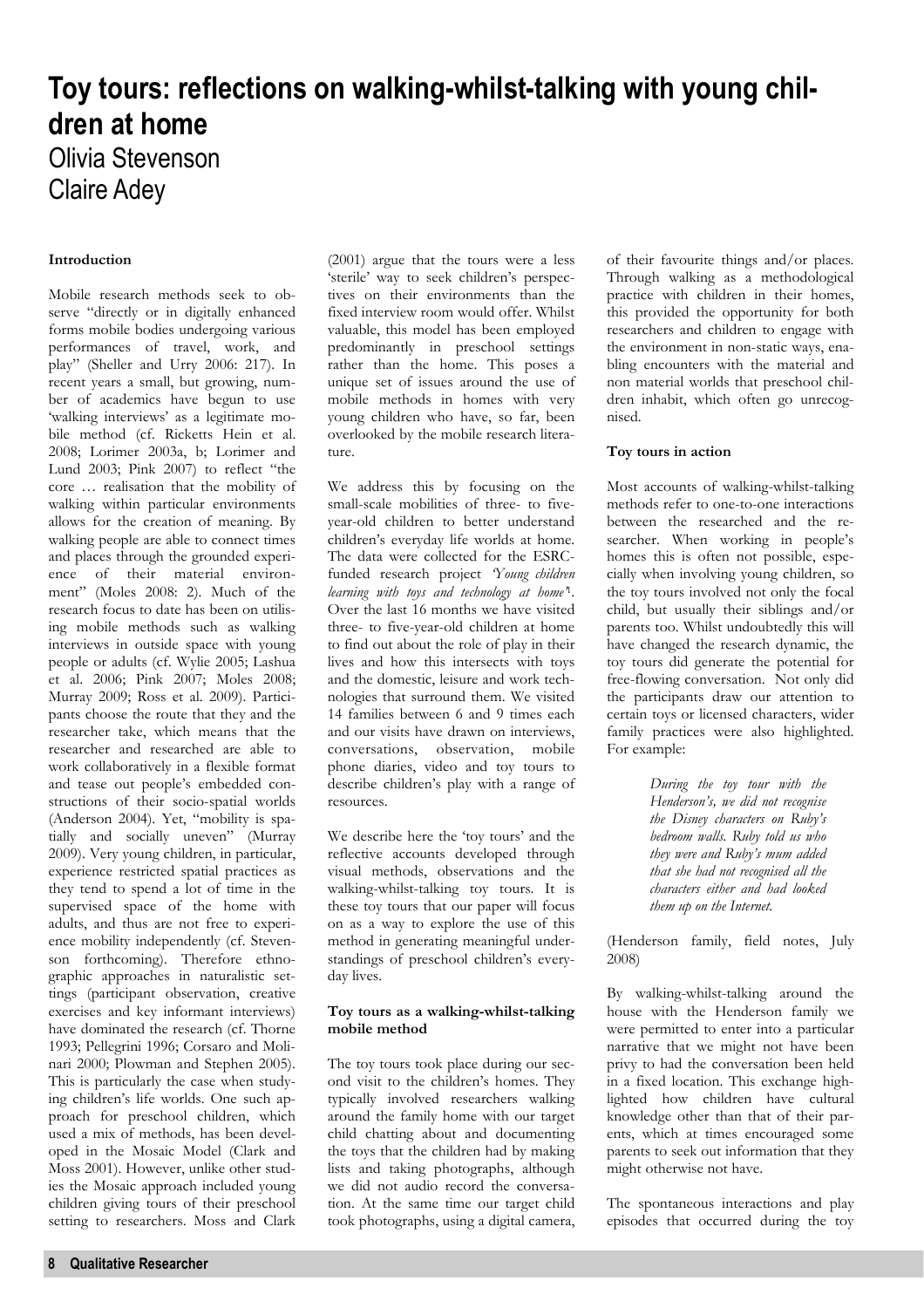# **Toy tours: reflections on walking-whilst-talking with young children at home**

### Olivia Stevenson Claire Adey

### **Introduction**

Mobile research methods seek to observe "directly or in digitally enhanced forms mobile bodies undergoing various performances of travel, work, and play" (Sheller and Urry 2006: 217). In recent years a small, but growing, number of academics have begun to use 'walking interviews' as a legitimate mobile method (cf. Ricketts Hein et al. 2008; Lorimer 2003a, b; Lorimer and Lund 2003; Pink 2007) to reflect "the core … realisation that the mobility of walking within particular environments allows for the creation of meaning. By walking people are able to connect times and places through the grounded experience of their material environment" (Moles 2008: 2). Much of the research focus to date has been on utilising mobile methods such as walking interviews in outside space with young people or adults (cf. Wylie 2005; Lashua et al. 2006; Pink 2007; Moles 2008; Murray 2009; Ross et al. 2009). Participants choose the route that they and the researcher take, which means that the researcher and researched are able to work collaboratively in a flexible format and tease out people's embedded constructions of their socio-spatial worlds (Anderson 2004). Yet, "mobility is spatially and socially uneven" (Murray 2009). Very young children, in particular, experience restricted spatial practices as they tend to spend a lot of time in the supervised space of the home with adults, and thus are not free to experience mobility independently (cf. Stevenson forthcoming). Therefore ethnographic approaches in naturalistic settings (participant observation, creative exercises and key informant interviews) have dominated the research (cf. Thorne 1993; Pellegrini 1996; Corsaro and Molinari 2000; Plowman and Stephen 2005). This is particularly the case when studying children's life worlds. One such approach for preschool children, which used a mix of methods, has been developed in the Mosaic Model (Clark and Moss 2001). However, unlike other studies the Mosaic approach included young children giving tours of their preschool setting to researchers. Moss and Clark

(2001) argue that the tours were a less 'sterile' way to seek children's perspectives on their environments than the fixed interview room would offer. Whilst valuable, this model has been employed predominantly in preschool settings rather than the home. This poses a unique set of issues around the use of mobile methods in homes with very young children who have, so far, been overlooked by the mobile research literature.

We address this by focusing on the small-scale mobilities of three- to fiveyear-old children to better understand children's everyday life worlds at home. The data were collected for the ESRCfunded research project *'Young children learning with toys and technology at home'*1. Over the last 16 months we have visited three- to five-year-old children at home to find out about the role of play in their lives and how this intersects with toys and the domestic, leisure and work technologies that surround them. We visited 14 families between 6 and 9 times each and our visits have drawn on interviews, conversations, observation, mobile phone diaries, video and toy tours to describe children's play with a range of resources.

We describe here the 'toy tours' and the reflective accounts developed through visual methods, observations and the walking-whilst-talking toy tours. It is these toy tours that our paper will focus on as a way to explore the use of this method in generating meaningful understandings of preschool children's everyday lives.

### **Toy tours as a walking-whilst-talking mobile method**

The toy tours took place during our second visit to the children's homes. They typically involved researchers walking around the family home with our target child chatting about and documenting the toys that the children had by making lists and taking photographs, although we did not audio record the conversation. At the same time our target child took photographs, using a digital camera,

of their favourite things and/or places. Through walking as a methodological practice with children in their homes, this provided the opportunity for both researchers and children to engage with the environment in non-static ways, enabling encounters with the material and non material worlds that preschool children inhabit, which often go unrecognised.

### **Toy tours in action**

Most accounts of walking-whilst-talking methods refer to one-to-one interactions between the researched and the researcher. When working in people's homes this is often not possible, especially when involving young children, so the toy tours involved not only the focal child, but usually their siblings and/or parents too. Whilst undoubtedly this will have changed the research dynamic, the toy tours did generate the potential for free-flowing conversation. Not only did the participants draw our attention to certain toys or licensed characters, wider family practices were also highlighted. For example:

> *During the toy tour with the Henderson's, we did not recognise the Disney characters on Ruby's bedroom walls. Ruby told us who they were and Ruby's mum added that she had not recognised all the characters either and had looked them up on the Internet.*

(Henderson family, field notes, July 2008)

By walking-whilst-talking around the house with the Henderson family we were permitted to enter into a particular narrative that we might not have been privy to had the conversation been held in a fixed location. This exchange highlighted how children have cultural knowledge other than that of their parents, which at times encouraged some parents to seek out information that they might otherwise not have.

The spontaneous interactions and play episodes that occurred during the toy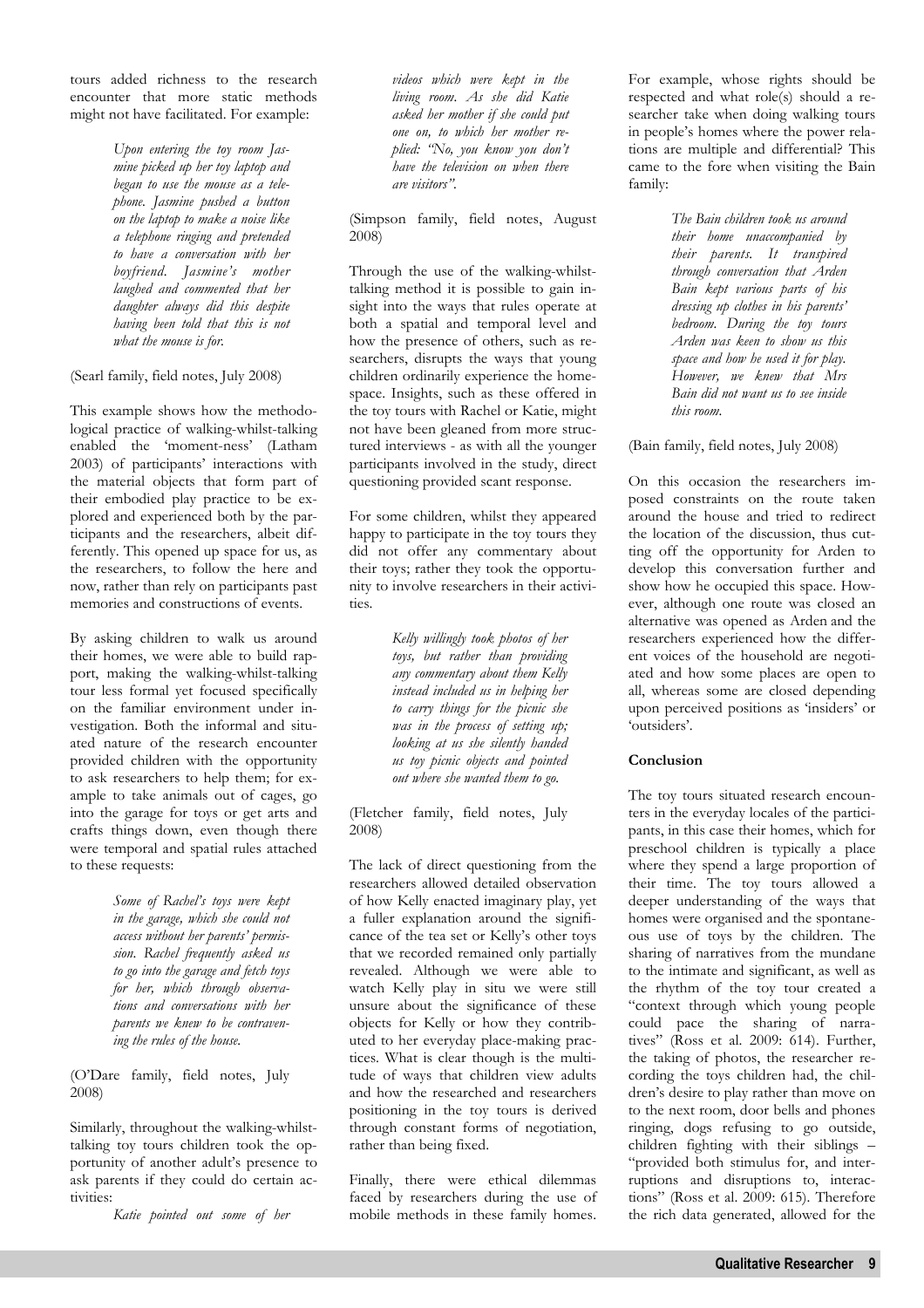tours added richness to the research encounter that more static methods might not have facilitated. For example:

> *Upon entering the toy room Jasmine picked up her toy laptop and began to use the mouse as a telephone. Jasmine pushed a button on the laptop to make a noise like a telephone ringing and pretended to have a conversation with her boyfriend. Jasmine's mother laughed and commented that her daughter always did this despite having been told that this is not what the mouse is for.*

(Searl family, field notes, July 2008)

This example shows how the methodological practice of walking-whilst-talking enabled the 'moment-ness' (Latham 2003) of participants' interactions with the material objects that form part of their embodied play practice to be explored and experienced both by the participants and the researchers, albeit differently. This opened up space for us, as the researchers, to follow the here and now, rather than rely on participants past memories and constructions of events.

By asking children to walk us around their homes, we were able to build rapport, making the walking-whilst-talking tour less formal yet focused specifically on the familiar environment under investigation. Both the informal and situated nature of the research encounter provided children with the opportunity to ask researchers to help them; for example to take animals out of cages, go into the garage for toys or get arts and crafts things down, even though there were temporal and spatial rules attached to these requests:

> *Some of Rachel's toys were kept in the garage, which she could not access without her parents' permission. Rachel frequently asked us to go into the garage and fetch toys for her, which through observations and conversations with her parents we knew to be contravening the rules of the house.*

(O'Dare family, field notes, July 2008)

Similarly, throughout the walking-whilsttalking toy tours children took the opportunity of another adult's presence to ask parents if they could do certain activities:

*Katie pointed out some of her* 

*videos which were kept in the living room. As she did Katie asked her mother if she could put one on, to which her mother replied: "No, you know you don't have the television on when there are visitors".* 

(Simpson family, field notes, August 2008)

Through the use of the walking-whilsttalking method it is possible to gain insight into the ways that rules operate at both a spatial and temporal level and how the presence of others, such as researchers, disrupts the ways that young children ordinarily experience the homespace. Insights, such as these offered in the toy tours with Rachel or Katie, might not have been gleaned from more structured interviews - as with all the younger participants involved in the study, direct questioning provided scant response.

For some children, whilst they appeared happy to participate in the toy tours they did not offer any commentary about their toys; rather they took the opportunity to involve researchers in their activities.

> *Kelly willingly took photos of her toys, but rather than providing any commentary about them Kelly instead included us in helping her to carry things for the picnic she was in the process of setting up; looking at us she silently handed us toy picnic objects and pointed out where she wanted them to go.*

(Fletcher family, field notes, July 2008)

The lack of direct questioning from the researchers allowed detailed observation of how Kelly enacted imaginary play, yet a fuller explanation around the significance of the tea set or Kelly's other toys that we recorded remained only partially revealed. Although we were able to watch Kelly play in situ we were still unsure about the significance of these objects for Kelly or how they contributed to her everyday place-making practices. What is clear though is the multitude of ways that children view adults and how the researched and researchers positioning in the toy tours is derived through constant forms of negotiation, rather than being fixed.

Finally, there were ethical dilemmas faced by researchers during the use of mobile methods in these family homes.

For example, whose rights should be respected and what role(s) should a researcher take when doing walking tours in people's homes where the power relations are multiple and differential? This came to the fore when visiting the Bain family:

> *The Bain children took us around their home unaccompanied by their parents. It transpired through conversation that Arden Bain kept various parts of his dressing up clothes in his parents' bedroom. During the toy tours Arden was keen to show us this space and how he used it for play. However, we knew that Mrs Bain did not want us to see inside this room.*

(Bain family, field notes, July 2008)

On this occasion the researchers imposed constraints on the route taken around the house and tried to redirect the location of the discussion, thus cutting off the opportunity for Arden to develop this conversation further and show how he occupied this space. However, although one route was closed an alternative was opened as Arden and the researchers experienced how the different voices of the household are negotiated and how some places are open to all, whereas some are closed depending upon perceived positions as 'insiders' or 'outsiders'.

### **Conclusion**

The toy tours situated research encounters in the everyday locales of the participants, in this case their homes, which for preschool children is typically a place where they spend a large proportion of their time. The toy tours allowed a deeper understanding of the ways that homes were organised and the spontaneous use of toys by the children. The sharing of narratives from the mundane to the intimate and significant, as well as the rhythm of the toy tour created a "context through which young people could pace the sharing of narratives" (Ross et al. 2009: 614). Further, the taking of photos, the researcher recording the toys children had, the children's desire to play rather than move on to the next room, door bells and phones ringing, dogs refusing to go outside, children fighting with their siblings – "provided both stimulus for, and interruptions and disruptions to, interactions" (Ross et al. 2009: 615). Therefore the rich data generated, allowed for the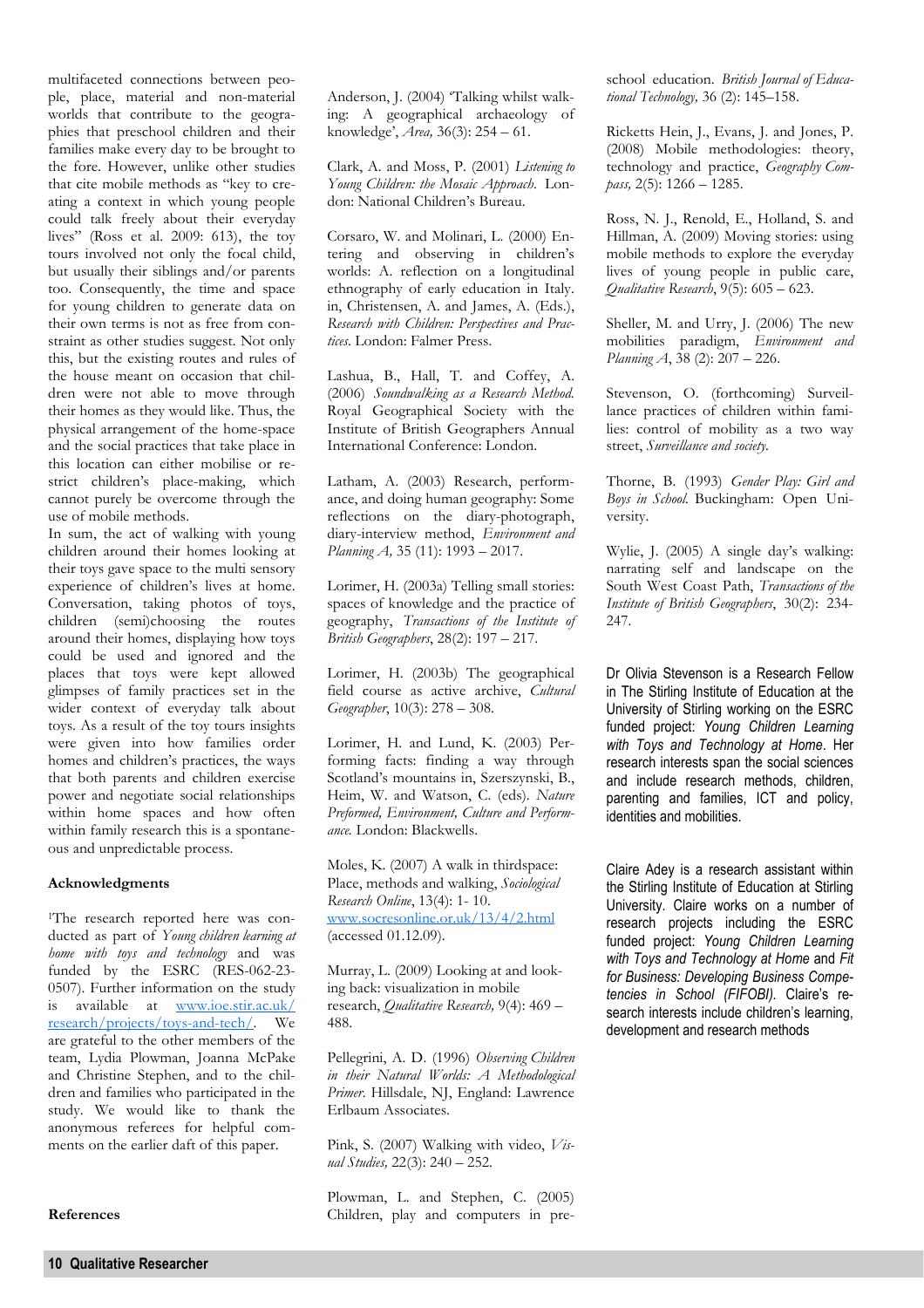multifaceted connections between people, place, material and non-material worlds that contribute to the geographies that preschool children and their families make every day to be brought to the fore. However, unlike other studies that cite mobile methods as "key to creating a context in which young people could talk freely about their everyday lives" (Ross et al. 2009: 613), the toy tours involved not only the focal child, but usually their siblings and/or parents too. Consequently, the time and space for young children to generate data on their own terms is not as free from constraint as other studies suggest. Not only this, but the existing routes and rules of the house meant on occasion that children were not able to move through their homes as they would like. Thus, the physical arrangement of the home-space and the social practices that take place in this location can either mobilise or restrict children's place-making, which cannot purely be overcome through the use of mobile methods.

In sum, the act of walking with young children around their homes looking at their toys gave space to the multi sensory experience of children's lives at home. Conversation, taking photos of toys, children (semi)choosing the routes around their homes, displaying how toys could be used and ignored and the places that toys were kept allowed glimpses of family practices set in the wider context of everyday talk about toys. As a result of the toy tours insights were given into how families order homes and children's practices, the ways that both parents and children exercise power and negotiate social relationships within home spaces and how often within family research this is a spontaneous and unpredictable process.

### **Acknowledgments**

<sup>1</sup>The research reported here was conducted as part of *Young children learning at home with toys and technology* and was funded by the ESRC (RES-062-23-0507). Further information on the study is available at www.ioe.stir.ac.uk/ research/projects/toys-and-tech/. We are grateful to the other members of the team, Lydia Plowman, Joanna McPake and Christine Stephen, and to the children and families who participated in the study. We would like to thank the anonymous referees for helpful comments on the earlier daft of this paper.

**References** 

Anderson, J. (2004) 'Talking whilst walking: A geographical archaeology of knowledge', *Area,* 36(3): 254 – 61.

Clark, A. and Moss, P. (2001) *Listening to Young Children: the Mosaic Approach*. London: National Children's Bureau.

Corsaro, W. and Molinari, L. (2000) Entering and observing in children's worlds: A. reflection on a longitudinal ethnography of early education in Italy. in, Christensen, A. and James, A. (Eds.), *Research with Children: Perspectives and Practices*. London: Falmer Press.

Lashua, B., Hall, T. and Coffey, A. (2006) *Soundwalking as a Research Method.* Royal Geographical Society with the Institute of British Geographers Annual International Conference: London.

Latham, A. (2003) Research, performance, and doing human geography: Some reflections on the diary-photograph, diary-interview method, *Environment and Planning A,* 35 (11): 1993 – 2017.

Lorimer, H. (2003a) Telling small stories: spaces of knowledge and the practice of geography, *Transactions of the Institute of British Geographers*, 28(2): 197 – 217.

Lorimer, H. (2003b) The geographical field course as active archive, *Cultural Geographer*, 10(3): 278 – 308.

Lorimer, H. and Lund, K. (2003) Performing facts: finding a way through Scotland's mountains in, Szerszynski, B., Heim, W. and Watson, C. (eds). *Nature Preformed, Environment, Culture and Performance.* London: Blackwells.

Moles, K. (2007) A walk in thirdspace: Place, methods and walking, *Sociological Research Online*, 13(4): 1- 10. www.socresonline.or.uk/13/4/2.html (accessed 01.12.09).

Murray, L. (2009) Looking at and looking back: visualization in mobile research, *Qualitative Research,* 9(4): 469 – 488.

Pellegrini, A. D. (1996) *Observing Children in their Natural Worlds: A Methodological Primer*. Hillsdale, NJ, England: Lawrence Erlbaum Associates.

Pink, S. (2007) Walking with video, *Visual Studies,* 22(3): 240 – 252.

Plowman, L. and Stephen, C. (2005) Children, play and computers in preschool education. *British Journal of Educational Technology,* 36 (2): 145–158.

Ricketts Hein, J., Evans, J. and Jones, P. (2008) Mobile methodologies: theory, technology and practice, *Geography Compass,* 2(5): 1266 – 1285.

Ross, N. J., Renold, E., Holland, S. and Hillman, A. (2009) Moving stories: using mobile methods to explore the everyday lives of young people in public care, *Qualitative Research*, 9(5): 605 – 623.

Sheller, M. and Urry, J. (2006) The new mobilities paradigm, *Environment and Planning A*, 38 (2): 207 – 226.

Stevenson, O. (forthcoming) Surveillance practices of children within families: control of mobility as a two way street, *Surveillance and society.* 

Thorne, B. (1993) *Gender Play: Girl and Boys in School.* Buckingham: Open University.

Wylie, J. (2005) A single day's walking: narrating self and landscape on the South West Coast Path, *Transactions of the Institute of British Geographers*, 30(2): 234- 247.

Dr Olivia Stevenson is a Research Fellow in The Stirling Institute of Education at the University of Stirling working on the ESRC funded project: *Young Children Learning with Toys and Technology at Home*. Her research interests span the social sciences and include research methods, children, parenting and families, ICT and policy, identities and mobilities.

Claire Adey is a research assistant within the Stirling Institute of Education at Stirling University. Claire works on a number of research projects including the ESRC funded project: *Young Children Learning with Toys and Technology at Home* and *Fit for Business: Developing Business Competencies in School (FIFOBI).* Claire's research interests include children's learning, development and research methods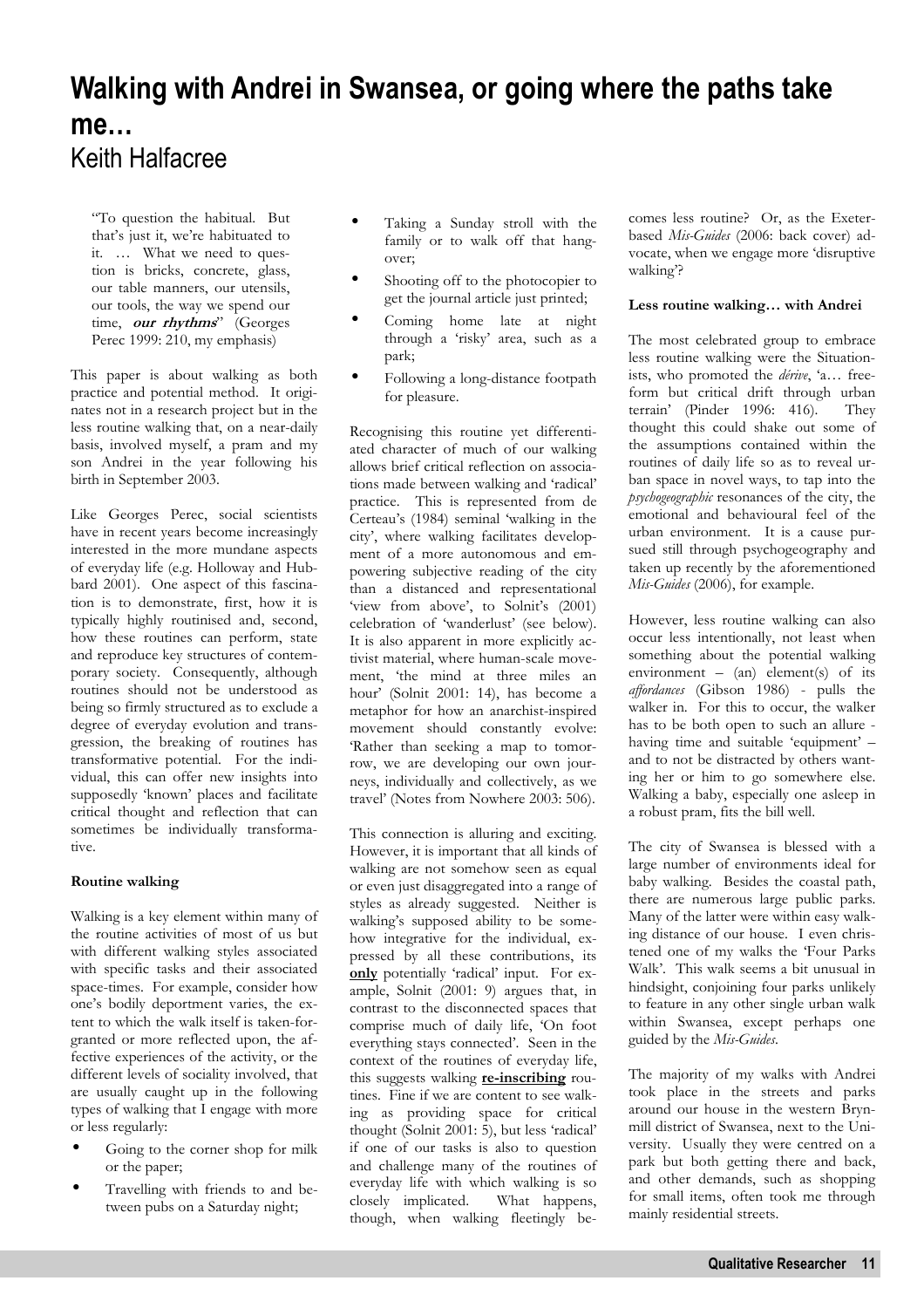### **Walking with Andrei in Swansea, or going where the paths take me…**  Keith Halfacree

"To question the habitual. But that's just it, we're habituated to it. … What we need to question is bricks, concrete, glass, our table manners, our utensils, our tools, the way we spend our time, **our rhythms**" (Georges Perec 1999: 210, my emphasis)

This paper is about walking as both practice and potential method. It originates not in a research project but in the less routine walking that, on a near-daily basis, involved myself, a pram and my son Andrei in the year following his birth in September 2003.

Like Georges Perec, social scientists have in recent years become increasingly interested in the more mundane aspects of everyday life (e.g. Holloway and Hubbard 2001). One aspect of this fascination is to demonstrate, first, how it is typically highly routinised and, second, how these routines can perform, state and reproduce key structures of contemporary society. Consequently, although routines should not be understood as being so firmly structured as to exclude a degree of everyday evolution and transgression, the breaking of routines has transformative potential. For the individual, this can offer new insights into supposedly 'known' places and facilitate critical thought and reflection that can sometimes be individually transformative.

### **Routine walking**

Walking is a key element within many of the routine activities of most of us but with different walking styles associated with specific tasks and their associated space-times. For example, consider how one's bodily deportment varies, the extent to which the walk itself is taken-forgranted or more reflected upon, the affective experiences of the activity, or the different levels of sociality involved, that are usually caught up in the following types of walking that I engage with more or less regularly:

- Going to the corner shop for milk or the paper;
- Travelling with friends to and between pubs on a Saturday night;
- Taking a Sunday stroll with the family or to walk off that hangover;
- Shooting off to the photocopier to get the journal article just printed;
- Coming home late at night through a 'risky' area, such as a park;
- Following a long-distance footpath for pleasure.

Recognising this routine yet differentiated character of much of our walking allows brief critical reflection on associations made between walking and 'radical' practice. This is represented from de Certeau's (1984) seminal 'walking in the city', where walking facilitates development of a more autonomous and empowering subjective reading of the city than a distanced and representational 'view from above', to Solnit's (2001) celebration of 'wanderlust' (see below). It is also apparent in more explicitly activist material, where human-scale movement, 'the mind at three miles an hour' (Solnit 2001: 14), has become a metaphor for how an anarchist-inspired movement should constantly evolve: 'Rather than seeking a map to tomorrow, we are developing our own journeys, individually and collectively, as we travel' (Notes from Nowhere 2003: 506).

This connection is alluring and exciting. However, it is important that all kinds of walking are not somehow seen as equal or even just disaggregated into a range of styles as already suggested. Neither is walking's supposed ability to be somehow integrative for the individual, expressed by all these contributions, its **only** potentially 'radical' input. For example, Solnit (2001: 9) argues that, in contrast to the disconnected spaces that comprise much of daily life, 'On foot everything stays connected'. Seen in the context of the routines of everyday life, this suggests walking **re-inscribing** routines. Fine if we are content to see walking as providing space for critical thought (Solnit 2001: 5), but less 'radical' if one of our tasks is also to question and challenge many of the routines of everyday life with which walking is so closely implicated. What happens, though, when walking fleetingly becomes less routine? Or, as the Exeterbased *Mis-Guides* (2006: back cover) advocate, when we engage more 'disruptive walking'?

### **Less routine walking… with Andrei**

The most celebrated group to embrace less routine walking were the Situationists, who promoted the *dérive*, 'a… freeform but critical drift through urban terrain' (Pinder 1996: 416). They thought this could shake out some of the assumptions contained within the routines of daily life so as to reveal urban space in novel ways, to tap into the *psychogeographic* resonances of the city, the emotional and behavioural feel of the urban environment. It is a cause pursued still through psychogeography and taken up recently by the aforementioned *Mis-Guides* (2006), for example.

However, less routine walking can also occur less intentionally, not least when something about the potential walking environment –  $(an)$  element(s) of its *affordances* (Gibson 1986) - pulls the walker in. For this to occur, the walker has to be both open to such an allure having time and suitable 'equipment' – and to not be distracted by others wanting her or him to go somewhere else. Walking a baby, especially one asleep in a robust pram, fits the bill well.

The city of Swansea is blessed with a large number of environments ideal for baby walking. Besides the coastal path, there are numerous large public parks. Many of the latter were within easy walking distance of our house. I even christened one of my walks the 'Four Parks Walk'. This walk seems a bit unusual in hindsight, conjoining four parks unlikely to feature in any other single urban walk within Swansea, except perhaps one guided by the *Mis-Guides*.

The majority of my walks with Andrei took place in the streets and parks around our house in the western Brynmill district of Swansea, next to the University. Usually they were centred on a park but both getting there and back, and other demands, such as shopping for small items, often took me through mainly residential streets.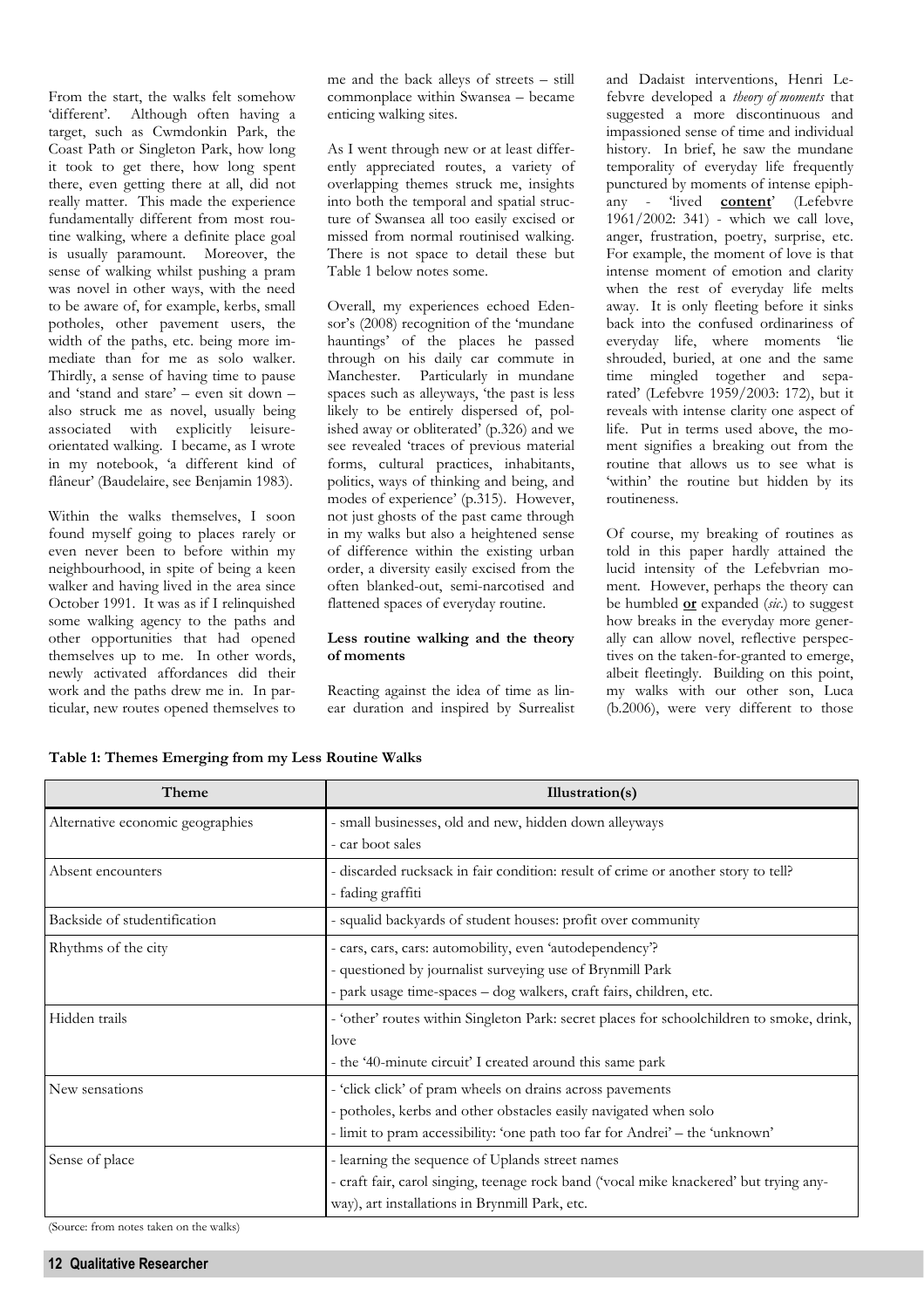From the start, the walks felt somehow 'different'. Although often having a target, such as Cwmdonkin Park, the Coast Path or Singleton Park, how long it took to get there, how long spent there, even getting there at all, did not really matter. This made the experience fundamentally different from most routine walking, where a definite place goal is usually paramount. Moreover, the sense of walking whilst pushing a pram was novel in other ways, with the need to be aware of, for example, kerbs, small potholes, other pavement users, the width of the paths, etc. being more immediate than for me as solo walker. Thirdly, a sense of having time to pause and 'stand and stare' – even sit down – also struck me as novel, usually being associated with explicitly leisureorientated walking. I became, as I wrote in my notebook, 'a different kind of flâneur' (Baudelaire, see Benjamin 1983).

Within the walks themselves, I soon found myself going to places rarely or even never been to before within my neighbourhood, in spite of being a keen walker and having lived in the area since October 1991. It was as if I relinquished some walking agency to the paths and other opportunities that had opened themselves up to me. In other words, newly activated affordances did their work and the paths drew me in. In particular, new routes opened themselves to me and the back alleys of streets – still commonplace within Swansea – became enticing walking sites.

As I went through new or at least differently appreciated routes, a variety of overlapping themes struck me, insights into both the temporal and spatial structure of Swansea all too easily excised or missed from normal routinised walking. There is not space to detail these but Table 1 below notes some.

Overall, my experiences echoed Edensor's (2008) recognition of the 'mundane hauntings' of the places he passed through on his daily car commute in Manchester. Particularly in mundane spaces such as alleyways, 'the past is less likely to be entirely dispersed of, polished away or obliterated' (p.326) and we see revealed 'traces of previous material forms, cultural practices, inhabitants, politics, ways of thinking and being, and modes of experience' (p.315). However, not just ghosts of the past came through in my walks but also a heightened sense of difference within the existing urban order, a diversity easily excised from the often blanked-out, semi-narcotised and flattened spaces of everyday routine.

### **Less routine walking and the theory of moments**

Reacting against the idea of time as linear duration and inspired by Surrealist

and Dadaist interventions, Henri Lefebvre developed a *theory of moments* that suggested a more discontinuous and impassioned sense of time and individual history. In brief, he saw the mundane temporality of everyday life frequently punctured by moments of intense epiphany - 'lived **content**' (Lefebvre 1961/2002: 341) - which we call love, anger, frustration, poetry, surprise, etc. For example, the moment of love is that intense moment of emotion and clarity when the rest of everyday life melts away. It is only fleeting before it sinks back into the confused ordinariness of everyday life, where moments 'lie shrouded, buried, at one and the same time mingled together and separated' (Lefebvre 1959/2003: 172), but it reveals with intense clarity one aspect of life. Put in terms used above, the moment signifies a breaking out from the routine that allows us to see what is 'within' the routine but hidden by its routineness.

Of course, my breaking of routines as told in this paper hardly attained the lucid intensity of the Lefebvrian moment. However, perhaps the theory can be humbled **or** expanded (*sic*.) to suggest how breaks in the everyday more generally can allow novel, reflective perspectives on the taken-for-granted to emerge, albeit fleetingly. Building on this point, my walks with our other son, Luca (b.2006), were very different to those

**Table 1: Themes Emerging from my Less Routine Walks**

| Theme                            | Illustration(s)                                                                           |
|----------------------------------|-------------------------------------------------------------------------------------------|
| Alternative economic geographies | - small businesses, old and new, hidden down alleyways                                    |
|                                  | - car boot sales                                                                          |
| Absent encounters                | - discarded rucksack in fair condition: result of crime or another story to tell?         |
|                                  | - fading graffiti                                                                         |
| Backside of studentification     | - squalid backyards of student houses: profit over community                              |
| Rhythms of the city              | - cars, cars, cars: automobility, even 'autodependency'?                                  |
|                                  | - questioned by journalist surveying use of Brynmill Park                                 |
|                                  | - park usage time-spaces - dog walkers, craft fairs, children, etc.                       |
| Hidden trails                    | - 'other' routes within Singleton Park: secret places for schoolchildren to smoke, drink, |
|                                  | love                                                                                      |
|                                  | - the '40-minute circuit' I created around this same park                                 |
| New sensations                   | - 'click click' of pram wheels on drains across pavements                                 |
|                                  | - potholes, kerbs and other obstacles easily navigated when solo                          |
|                                  | - limit to pram accessibility: 'one path too far for Andrei' – the 'unknown'              |
| Sense of place                   | - learning the sequence of Uplands street names                                           |
|                                  | - craft fair, carol singing, teenage rock band ('vocal mike knackered' but trying any-    |
|                                  | way), art installations in Brynmill Park, etc.                                            |

(Source: from notes taken on the walks)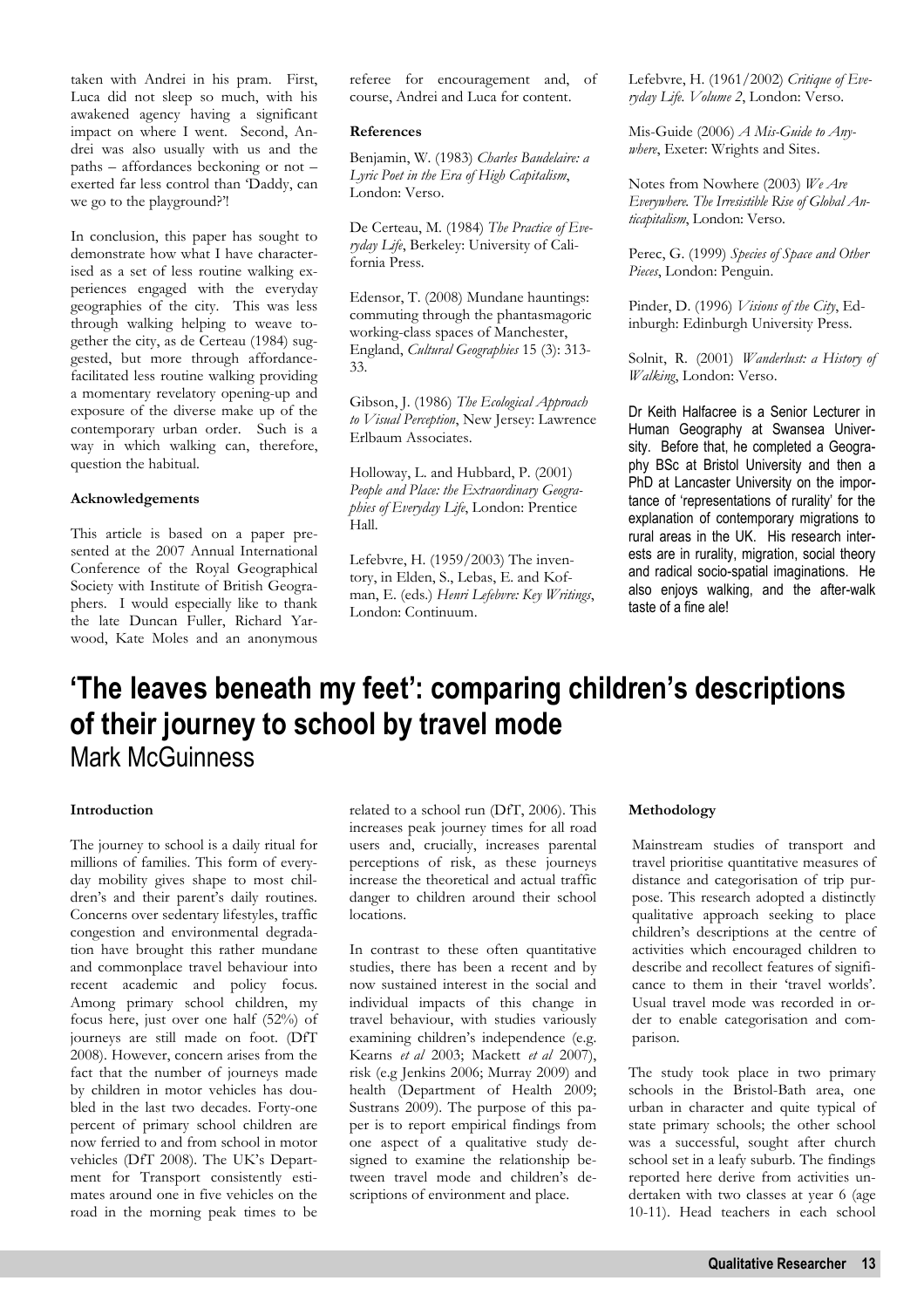taken with Andrei in his pram. First, Luca did not sleep so much, with his awakened agency having a significant impact on where I went. Second, Andrei was also usually with us and the paths – affordances beckoning or not – exerted far less control than 'Daddy, can we go to the playground?'!

In conclusion, this paper has sought to demonstrate how what I have characterised as a set of less routine walking experiences engaged with the everyday geographies of the city. This was less through walking helping to weave together the city, as de Certeau (1984) suggested, but more through affordancefacilitated less routine walking providing a momentary revelatory opening-up and exposure of the diverse make up of the contemporary urban order. Such is a way in which walking can, therefore, question the habitual.

### **Acknowledgements**

This article is based on a paper presented at the 2007 Annual International Conference of the Royal Geographical Society with Institute of British Geographers. I would especially like to thank the late Duncan Fuller, Richard Yarwood, Kate Moles and an anonymous

referee for encouragement and, of course, Andrei and Luca for content.

### **References**

Benjamin, W. (1983) *Charles Baudelaire: a Lyric Poet in the Era of High Capitalism*, London: Verso.

De Certeau, M. (1984) *The Practice of Everyday Life*, Berkeley: University of California Press.

Edensor, T. (2008) Mundane hauntings: commuting through the phantasmagoric working-class spaces of Manchester, England, *Cultural Geographies* 15 (3): 313- 33.

Gibson, J. (1986) *The Ecological Approach to Visual Perception*, New Jersey: Lawrence Erlbaum Associates.

Holloway, L. and Hubbard, P. (2001) *People and Place: the Extraordinary Geographies of Everyday Life*, London: Prentice Hall.

Lefebvre, H. (1959/2003) The inventory, in Elden, S., Lebas, E. and Kofman, E. (eds.) *Henri Lefebvre: Key Writings*, London: Continuum.

Lefebvre, H. (1961/2002) *Critique of Everyday Life. Volume 2*, London: Verso.

Mis-Guide (2006) *A Mis-Guide to Anywhere*, Exeter: Wrights and Sites.

Notes from Nowhere (2003) *We Are Everywhere. The Irresistible Rise of Global Anticapitalism*, London: Verso.

Perec, G. (1999) *Species of Space and Other Pieces*, London: Penguin.

Pinder, D. (1996) *Visions of the City*, Edinburgh: Edinburgh University Press.

Solnit, R. (2001) *Wanderlust: a History of Walking*, London: Verso.

Dr Keith Halfacree is a Senior Lecturer in Human Geography at Swansea University. Before that, he completed a Geography BSc at Bristol University and then a PhD at Lancaster University on the importance of 'representations of rurality' for the explanation of contemporary migrations to rural areas in the UK. His research interests are in rurality, migration, social theory and radical socio-spatial imaginations. He also enjoys walking, and the after-walk taste of a fine ale!

### **'The leaves beneath my feet': comparing children's descriptions of their journey to school by travel mode**  Mark McGuinness

### **Introduction**

The journey to school is a daily ritual for millions of families. This form of everyday mobility gives shape to most children's and their parent's daily routines. Concerns over sedentary lifestyles, traffic congestion and environmental degradation have brought this rather mundane and commonplace travel behaviour into recent academic and policy focus. Among primary school children, my focus here, just over one half (52%) of journeys are still made on foot. (DfT 2008). However, concern arises from the fact that the number of journeys made by children in motor vehicles has doubled in the last two decades. Forty-one percent of primary school children are now ferried to and from school in motor vehicles (DfT 2008). The UK's Department for Transport consistently estimates around one in five vehicles on the road in the morning peak times to be

related to a school run (DfT, 2006). This increases peak journey times for all road users and, crucially, increases parental perceptions of risk, as these journeys increase the theoretical and actual traffic danger to children around their school locations.

In contrast to these often quantitative studies, there has been a recent and by now sustained interest in the social and individual impacts of this change in travel behaviour, with studies variously examining children's independence (e.g. Kearns *et al* 2003; Mackett *et al* 2007), risk (e.g Jenkins 2006; Murray 2009) and health (Department of Health 2009; Sustrans 2009). The purpose of this paper is to report empirical findings from one aspect of a qualitative study designed to examine the relationship between travel mode and children's descriptions of environment and place.

### **Methodology**

Mainstream studies of transport and travel prioritise quantitative measures of distance and categorisation of trip purpose. This research adopted a distinctly qualitative approach seeking to place children's descriptions at the centre of activities which encouraged children to describe and recollect features of significance to them in their 'travel worlds'. Usual travel mode was recorded in order to enable categorisation and comparison.

The study took place in two primary schools in the Bristol-Bath area, one urban in character and quite typical of state primary schools; the other school was a successful, sought after church school set in a leafy suburb. The findings reported here derive from activities undertaken with two classes at year 6 (age 10-11). Head teachers in each school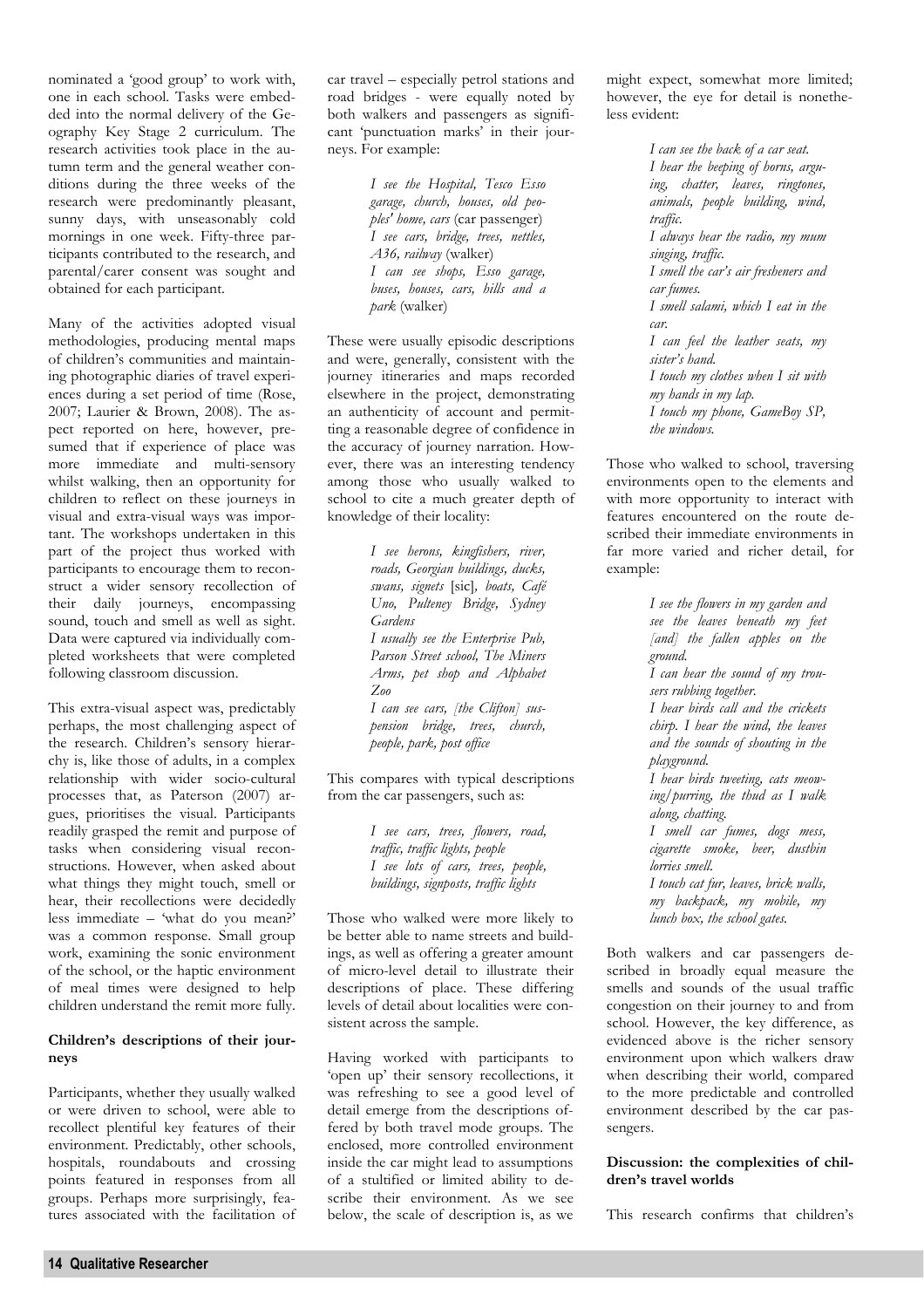nominated a 'good group' to work with, one in each school. Tasks were embedded into the normal delivery of the Geography Key Stage 2 curriculum. The research activities took place in the autumn term and the general weather conditions during the three weeks of the research were predominantly pleasant, sunny days, with unseasonably cold mornings in one week. Fifty-three participants contributed to the research, and parental/carer consent was sought and obtained for each participant.

Many of the activities adopted visual methodologies, producing mental maps of children's communities and maintaining photographic diaries of travel experiences during a set period of time (Rose, 2007; Laurier & Brown, 2008). The aspect reported on here, however, presumed that if experience of place was more immediate and multi-sensory whilst walking, then an opportunity for children to reflect on these journeys in visual and extra-visual ways was important. The workshops undertaken in this part of the project thus worked with participants to encourage them to reconstruct a wider sensory recollection of their daily journeys, encompassing sound, touch and smell as well as sight. Data were captured via individually completed worksheets that were completed following classroom discussion.

This extra-visual aspect was, predictably perhaps, the most challenging aspect of the research. Children's sensory hierarchy is, like those of adults, in a complex relationship with wider socio-cultural processes that, as Paterson (2007) argues, prioritises the visual. Participants readily grasped the remit and purpose of tasks when considering visual reconstructions. However, when asked about what things they might touch, smell or hear, their recollections were decidedly less immediate – 'what do you mean?' was a common response. Small group work, examining the sonic environment of the school, or the haptic environment of meal times were designed to help children understand the remit more fully.

### **Children's descriptions of their journeys**

Participants, whether they usually walked or were driven to school, were able to recollect plentiful key features of their environment. Predictably, other schools, hospitals, roundabouts and crossing points featured in responses from all groups. Perhaps more surprisingly, features associated with the facilitation of car travel – especially petrol stations and road bridges - were equally noted by both walkers and passengers as significant 'punctuation marks' in their journeys. For example:

> *I see the Hospital, Tesco Esso garage, church, houses, old peoples' home, cars* (car passenger) *I see cars, bridge, trees, nettles, A36, railway* (walker) *I can see shops, Esso garage, buses, houses, cars, hills and a park* (walker)

These were usually episodic descriptions and were, generally, consistent with the journey itineraries and maps recorded elsewhere in the project, demonstrating an authenticity of account and permitting a reasonable degree of confidence in the accuracy of journey narration. However, there was an interesting tendency among those who usually walked to school to cite a much greater depth of knowledge of their locality:

> *I see herons, kingfishers, river, roads, Georgian buildings, ducks, swans, signets* [sic]*, boats, Café Uno, Pulteney Bridge, Sydney Gardens I usually see the Enterprise Pub, Parson Street school, The Miners Arms, pet shop and Alphabet Zoo I can see cars, [the Clifton] suspension bridge, trees, church, people, park, post office*

This compares with typical descriptions from the car passengers, such as:

> *I see cars, trees, flowers, road, traffic, traffic lights, people I see lots of cars, trees, people, buildings, signposts, traffic lights*

Those who walked were more likely to be better able to name streets and buildings, as well as offering a greater amount of micro-level detail to illustrate their descriptions of place. These differing levels of detail about localities were consistent across the sample.

Having worked with participants to 'open up' their sensory recollections, it was refreshing to see a good level of detail emerge from the descriptions offered by both travel mode groups. The enclosed, more controlled environment inside the car might lead to assumptions of a stultified or limited ability to describe their environment. As we see below, the scale of description is, as we might expect, somewhat more limited; however, the eye for detail is nonetheless evident:

> *I can see the back of a car seat. I hear the beeping of horns, arguing, chatter, leaves, ringtones, animals, people building, wind, traffic. I always hear the radio, my mum singing, traffic. I smell the car's air fresheners and car fumes. I smell salami, which I eat in the car. I can feel the leather seats, my sister's hand. I touch my clothes when I sit with my hands in my lap. I touch my phone, GameBoy SP, the windows.*

Those who walked to school, traversing environments open to the elements and with more opportunity to interact with features encountered on the route described their immediate environments in far more varied and richer detail, for example:

> *I see the flowers in my garden and see the leaves beneath my feet [and] the fallen apples on the ground. I can hear the sound of my trousers rubbing together. I hear birds call and the crickets chirp. I hear the wind, the leaves and the sounds of shouting in the playground. I hear birds tweeting, cats meowing/purring, the thud as I walk along, chatting. I smell car fumes, dogs mess, cigarette smoke, beer, dustbin lorries smell. I touch cat fur, leaves, brick walls, my backpack, my mobile, my lunch box, the school gates.*

Both walkers and car passengers described in broadly equal measure the smells and sounds of the usual traffic congestion on their journey to and from school. However, the key difference, as evidenced above is the richer sensory environment upon which walkers draw when describing their world, compared to the more predictable and controlled environment described by the car passengers.

### **Discussion: the complexities of children's travel worlds**

This research confirms that children's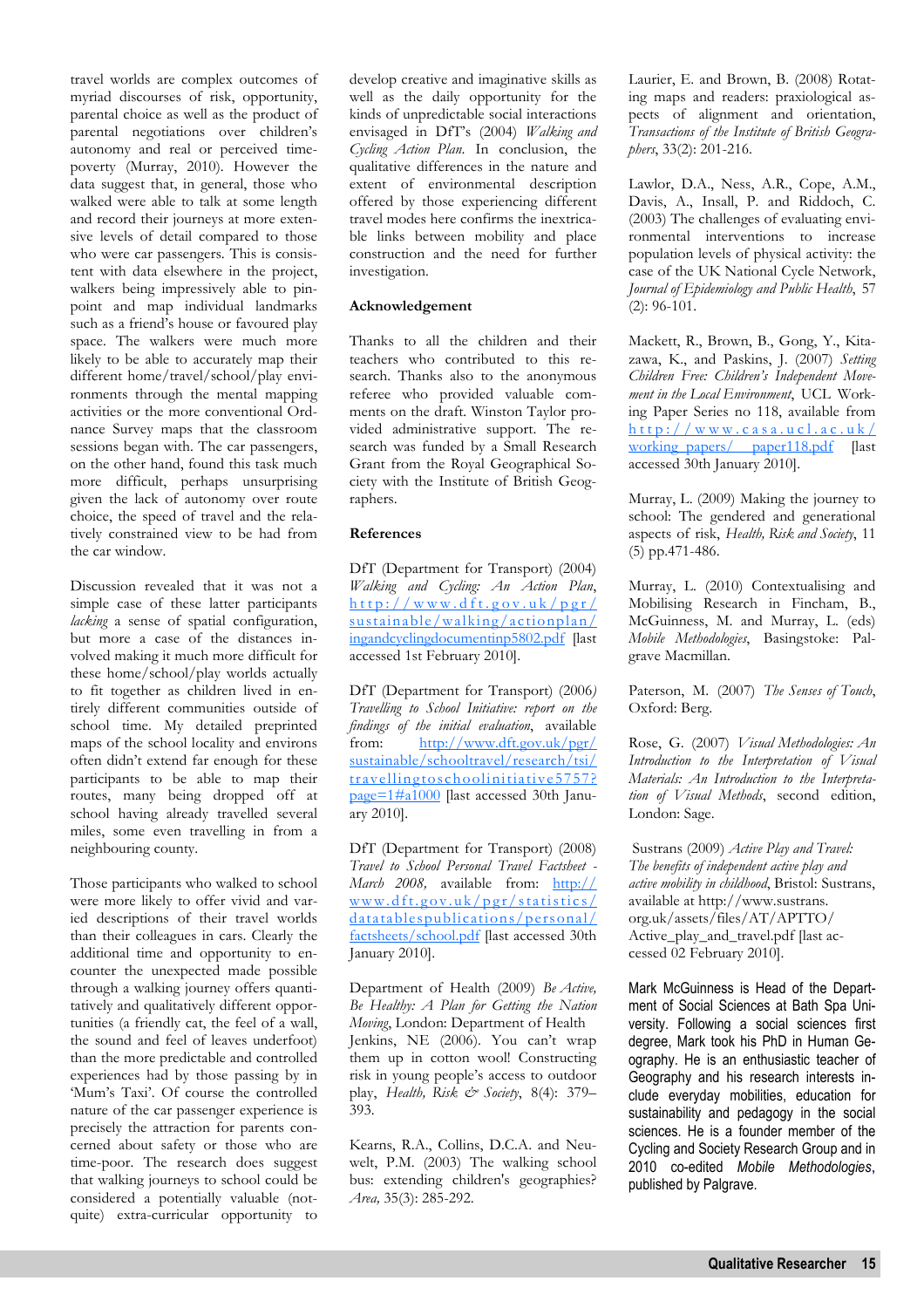travel worlds are complex outcomes of myriad discourses of risk, opportunity, parental choice as well as the product of parental negotiations over children's autonomy and real or perceived timepoverty (Murray, 2010). However the data suggest that, in general, those who walked were able to talk at some length and record their journeys at more extensive levels of detail compared to those who were car passengers. This is consistent with data elsewhere in the project, walkers being impressively able to pinpoint and map individual landmarks such as a friend's house or favoured play space. The walkers were much more likely to be able to accurately map their different home/travel/school/play environments through the mental mapping activities or the more conventional Ordnance Survey maps that the classroom sessions began with. The car passengers, on the other hand, found this task much more difficult, perhaps unsurprising given the lack of autonomy over route choice, the speed of travel and the relatively constrained view to be had from the car window.

Discussion revealed that it was not a simple case of these latter participants *lacking* a sense of spatial configuration, but more a case of the distances involved making it much more difficult for these home/school/play worlds actually to fit together as children lived in entirely different communities outside of school time. My detailed preprinted maps of the school locality and environs often didn't extend far enough for these participants to be able to map their routes, many being dropped off at school having already travelled several miles, some even travelling in from a neighbouring county.

Those participants who walked to school were more likely to offer vivid and varied descriptions of their travel worlds than their colleagues in cars. Clearly the additional time and opportunity to encounter the unexpected made possible through a walking journey offers quantitatively and qualitatively different opportunities (a friendly cat, the feel of a wall, the sound and feel of leaves underfoot) than the more predictable and controlled experiences had by those passing by in 'Mum's Taxi'. Of course the controlled nature of the car passenger experience is precisely the attraction for parents concerned about safety or those who are time-poor. The research does suggest that walking journeys to school could be considered a potentially valuable (notquite) extra-curricular opportunity to develop creative and imaginative skills as well as the daily opportunity for the kinds of unpredictable social interactions envisaged in DfT's (2004) *Walking and Cycling Action Plan*. In conclusion, the qualitative differences in the nature and extent of environmental description offered by those experiencing different travel modes here confirms the inextricable links between mobility and place construction and the need for further investigation.

### **Acknowledgement**

Thanks to all the children and their teachers who contributed to this research. Thanks also to the anonymous referee who provided valuable comments on the draft. Winston Taylor provided administrative support. The research was funded by a Small Research Grant from the Royal Geographical Society with the Institute of British Geographers.

### **References**

DfT (Department for Transport) (2004) *Walking and Cycling: An Action Plan*,  $http://www.dft.gov.uk/pgr/$ sustainable/walking/actionplan/ ingandcyclingdocumentinp5802.pdf [last accessed 1st February 2010].

DfT (Department for Transport) (2006*) Travelling to School Initiative: report on the findings* of the *initial evaluation*, available<br>from: http://www.dft.gov.uk/pgr/  $http://www.dft.gov.uk/per/$ sustainable/schooltravel/research/tsi/ travellingtoschoolinitiative5757? page=1#a1000 [last accessed 30th January 2010].

DfT (Department for Transport) (2008) *Travel to School Personal Travel Factsheet - March 2008,* available from: http://  $www.dft.gov.uk/pgr/statistics/$ datatablespublications/personal/ factsheets/school.pdf [last accessed 30th January 2010].

Department of Health (2009) *Be Active, Be Healthy: A Plan for Getting the Nation Moving*, London: Department of Health Jenkins, NE (2006). You can't wrap them up in cotton wool! Constructing risk in young people's access to outdoor play, *Health, Risk & Society*, 8(4): 379– 393.

Kearns, R.A., Collins, D.C.A. and Neuwelt, P.M. (2003) The walking school bus: extending children's geographies? *Area,* 35(3): 285-292.

Laurier, E. and Brown, B. (2008) Rotating maps and readers: praxiological aspects of alignment and orientation, *Transactions of the Institute of British Geographers*, 33(2): 201-216.

Lawlor, D.A., Ness, A.R., Cope, A.M., Davis, A., Insall, P. and Riddoch, C. (2003) The challenges of evaluating environmental interventions to increase population levels of physical activity: the case of the UK National Cycle Network, *Journal of Epidemiology and Public Health*, 57  $(2): 96-101.$ 

Mackett, R., Brown, B., Gong, Y., Kitazawa, K., and Paskins, J. (2007) *Setting Children Free: Children's Independent Movement in the Local Environment*, UCL Working Paper Series no 118, available from  $http://www.casa.ucl.ac.uk/$ working papers/ paper118.pdf [last accessed 30th January 2010].

Murray, L. (2009) Making the journey to school: The gendered and generational aspects of risk, *Health, Risk and Society*, 11 (5) pp.471-486.

Murray, L. (2010) Contextualising and Mobilising Research in Fincham, B., McGuinness, M. and Murray, L. (eds) *Mobile Methodologies*, Basingstoke: Palgrave Macmillan.

Paterson, M. (2007) *The Senses of Touch*, Oxford: Berg.

Rose, G. (2007) *Visual Methodologies: An Introduction to the Interpretation of Visual Materials: An Introduction to the Interpretation of Visual Methods*, second edition, London: Sage.

 Sustrans (2009) *Active Play and Travel: The benefits of independent active play and active mobility in childhood*, Bristol: Sustrans, available at http://www.sustrans. org.uk/assets/files/AT/APTTO/ Active\_play\_and\_travel.pdf [last accessed 02 February 2010].

Mark McGuinness is Head of the Department of Social Sciences at Bath Spa University. Following a social sciences first degree, Mark took his PhD in Human Geography. He is an enthusiastic teacher of Geography and his research interests include everyday mobilities, education for sustainability and pedagogy in the social sciences. He is a founder member of the Cycling and Society Research Group and in 2010 co-edited *Mobile Methodologies*, published by Palgrave.